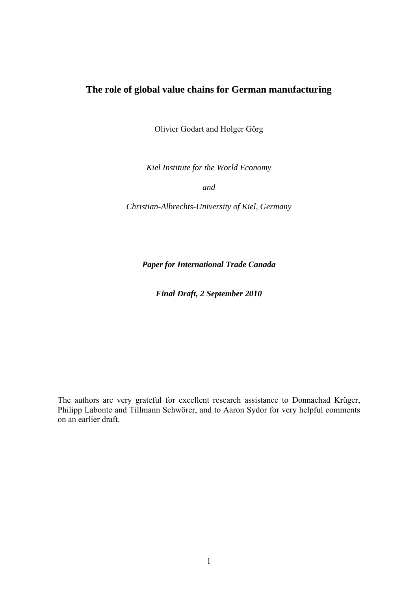## **The role of global value chains for German manufacturing**

Olivier Godart and Holger Görg

*Kiel Institute for the World Economy* 

*and* 

*Christian-Albrechts-University of Kiel, Germany* 

*Paper for International Trade Canada* 

*Final Draft, 2 September 2010* 

The authors are very grateful for excellent research assistance to Donnachad Krüger, Philipp Labonte and Tillmann Schwörer, and to Aaron Sydor for very helpful comments on an earlier draft.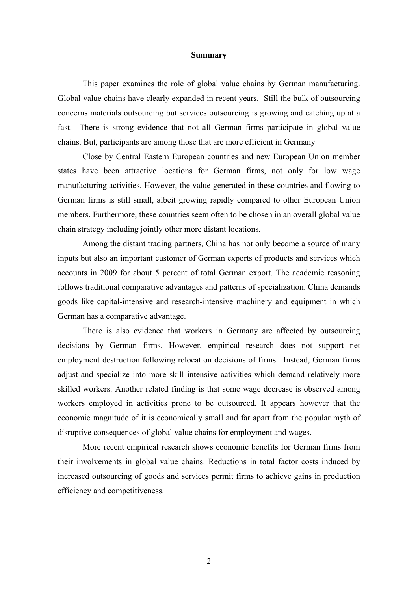#### **Summary**

This paper examines the role of global value chains by German manufacturing. Global value chains have clearly expanded in recent years. Still the bulk of outsourcing concerns materials outsourcing but services outsourcing is growing and catching up at a fast. There is strong evidence that not all German firms participate in global value chains. But, participants are among those that are more efficient in Germany

Close by Central Eastern European countries and new European Union member states have been attractive locations for German firms, not only for low wage manufacturing activities. However, the value generated in these countries and flowing to German firms is still small, albeit growing rapidly compared to other European Union members. Furthermore, these countries seem often to be chosen in an overall global value chain strategy including jointly other more distant locations.

Among the distant trading partners, China has not only become a source of many inputs but also an important customer of German exports of products and services which accounts in 2009 for about 5 percent of total German export. The academic reasoning follows traditional comparative advantages and patterns of specialization. China demands goods like capital-intensive and research-intensive machinery and equipment in which German has a comparative advantage.

There is also evidence that workers in Germany are affected by outsourcing decisions by German firms. However, empirical research does not support net employment destruction following relocation decisions of firms. Instead, German firms adjust and specialize into more skill intensive activities which demand relatively more skilled workers. Another related finding is that some wage decrease is observed among workers employed in activities prone to be outsourced. It appears however that the economic magnitude of it is economically small and far apart from the popular myth of disruptive consequences of global value chains for employment and wages.

More recent empirical research shows economic benefits for German firms from their involvements in global value chains. Reductions in total factor costs induced by increased outsourcing of goods and services permit firms to achieve gains in production efficiency and competitiveness.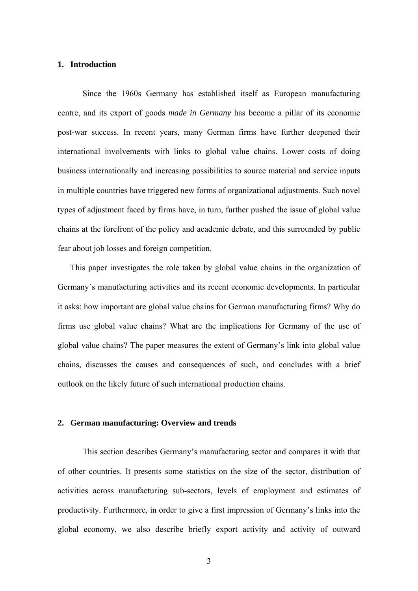#### **1. Introduction**

Since the 1960s Germany has established itself as European manufacturing centre, and its export of goods *made in Germany* has become a pillar of its economic post-war success. In recent years, many German firms have further deepened their international involvements with links to global value chains. Lower costs of doing business internationally and increasing possibilities to source material and service inputs in multiple countries have triggered new forms of organizational adjustments. Such novel types of adjustment faced by firms have, in turn, further pushed the issue of global value chains at the forefront of the policy and academic debate, and this surrounded by public fear about job losses and foreign competition.

This paper investigates the role taken by global value chains in the organization of Germany´s manufacturing activities and its recent economic developments. In particular it asks: how important are global value chains for German manufacturing firms? Why do firms use global value chains? What are the implications for Germany of the use of global value chains? The paper measures the extent of Germany's link into global value chains, discusses the causes and consequences of such, and concludes with a brief outlook on the likely future of such international production chains.

#### **2. German manufacturing: Overview and trends**

This section describes Germany's manufacturing sector and compares it with that of other countries. It presents some statistics on the size of the sector, distribution of activities across manufacturing sub-sectors, levels of employment and estimates of productivity. Furthermore, in order to give a first impression of Germany's links into the global economy, we also describe briefly export activity and activity of outward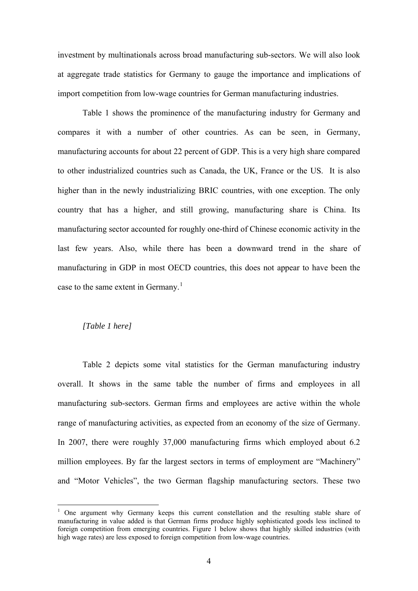investment by multinationals across broad manufacturing sub-sectors. We will also look at aggregate trade statistics for Germany to gauge the importance and implications of import competition from low-wage countries for German manufacturing industries.

Table 1 shows the prominence of the manufacturing industry for Germany and compares it with a number of other countries. As can be seen, in Germany, manufacturing accounts for about 22 percent of GDP. This is a very high share compared to other industrialized countries such as Canada, the UK, France or the US. It is also higher than in the newly industrializing BRIC countries, with one exception. The only country that has a higher, and still growing, manufacturing share is China. Its manufacturing sector accounted for roughly one-third of Chinese economic activity in the last few years. Also, while there has been a downward trend in the share of manufacturing in GDP in most OECD countries, this does not appear to have been the case to the same extent in Germany.<sup>[1](#page-3-0)</sup>

#### *[Table 1 here]*

 $\overline{a}$ 

Table 2 depicts some vital statistics for the German manufacturing industry overall. It shows in the same table the number of firms and employees in all manufacturing sub-sectors. German firms and employees are active within the whole range of manufacturing activities, as expected from an economy of the size of Germany. In 2007, there were roughly 37,000 manufacturing firms which employed about 6.2 million employees. By far the largest sectors in terms of employment are "Machinery" and "Motor Vehicles", the two German flagship manufacturing sectors. These two

<span id="page-3-0"></span><sup>&</sup>lt;sup>1</sup> One argument why Germany keeps this current constellation and the resulting stable share of manufacturing in value added is that German firms produce highly sophisticated goods less inclined to foreign competition from emerging countries. Figure 1 below shows that highly skilled industries (with high wage rates) are less exposed to foreign competition from low-wage countries.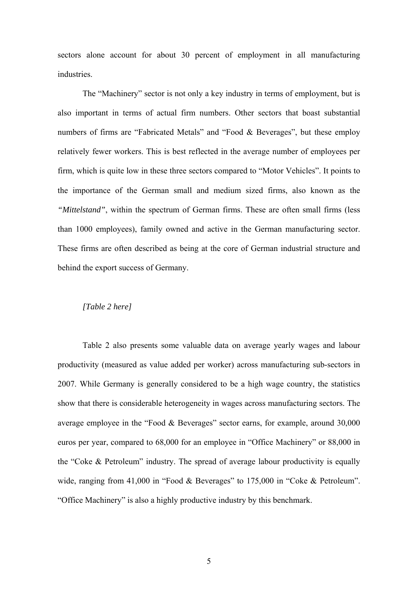sectors alone account for about 30 percent of employment in all manufacturing industries.

The "Machinery" sector is not only a key industry in terms of employment, but is also important in terms of actual firm numbers. Other sectors that boast substantial numbers of firms are "Fabricated Metals" and "Food & Beverages", but these employ relatively fewer workers. This is best reflected in the average number of employees per firm, which is quite low in these three sectors compared to "Motor Vehicles". It points to the importance of the German small and medium sized firms, also known as the *"Mittelstand"*, within the spectrum of German firms. These are often small firms (less than 1000 employees), family owned and active in the German manufacturing sector. These firms are often described as being at the core of German industrial structure and behind the export success of Germany.

#### *[Table 2 here]*

Table 2 also presents some valuable data on average yearly wages and labour productivity (measured as value added per worker) across manufacturing sub-sectors in 2007. While Germany is generally considered to be a high wage country, the statistics show that there is considerable heterogeneity in wages across manufacturing sectors. The average employee in the "Food & Beverages" sector earns, for example, around 30,000 euros per year, compared to 68,000 for an employee in "Office Machinery" or 88,000 in the "Coke & Petroleum" industry. The spread of average labour productivity is equally wide, ranging from 41,000 in "Food & Beverages" to 175,000 in "Coke & Petroleum". "Office Machinery" is also a highly productive industry by this benchmark.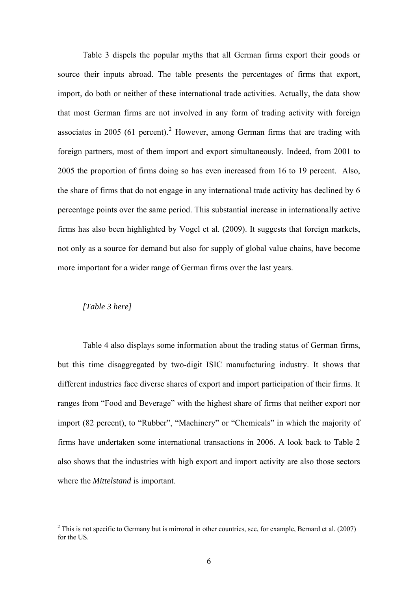Table 3 dispels the popular myths that all German firms export their goods or source their inputs abroad. The table presents the percentages of firms that export, import, do both or neither of these international trade activities. Actually, the data show that most German firms are not involved in any form of trading activity with foreign associates in [2](#page-5-0)005 (61 percent).<sup>2</sup> However, among German firms that are trading with foreign partners, most of them import and export simultaneously. Indeed, from 2001 to 2005 the proportion of firms doing so has even increased from 16 to 19 percent. Also, the share of firms that do not engage in any international trade activity has declined by 6 percentage points over the same period. This substantial increase in internationally active firms has also been highlighted by Vogel et al. (2009). It suggests that foreign markets, not only as a source for demand but also for supply of global value chains, have become more important for a wider range of German firms over the last years.

#### *[Table 3 here]*

 $\overline{a}$ 

Table 4 also displays some information about the trading status of German firms, but this time disaggregated by two-digit ISIC manufacturing industry. It shows that different industries face diverse shares of export and import participation of their firms. It ranges from "Food and Beverage" with the highest share of firms that neither export nor import (82 percent), to "Rubber", "Machinery" or "Chemicals" in which the majority of firms have undertaken some international transactions in 2006. A look back to Table 2 also shows that the industries with high export and import activity are also those sectors where the *Mittelstand* is important.

<span id="page-5-0"></span> $2$  This is not specific to Germany but is mirrored in other countries, see, for example, Bernard et al. (2007) for the US.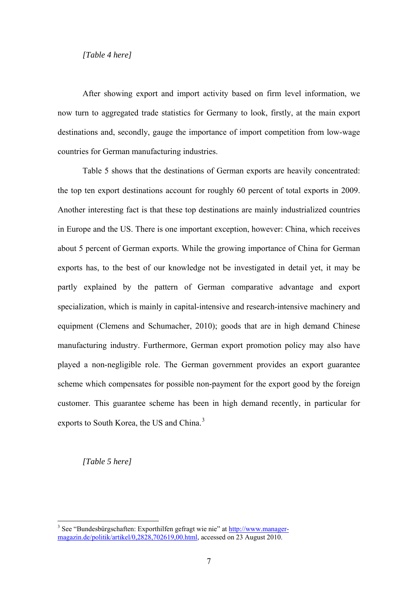#### *[Table 4 here]*

After showing export and import activity based on firm level information, we now turn to aggregated trade statistics for Germany to look, firstly, at the main export destinations and, secondly, gauge the importance of import competition from low-wage countries for German manufacturing industries.

Table 5 shows that the destinations of German exports are heavily concentrated: the top ten export destinations account for roughly 60 percent of total exports in 2009. Another interesting fact is that these top destinations are mainly industrialized countries in Europe and the US. There is one important exception, however: China, which receives about 5 percent of German exports. While the growing importance of China for German exports has, to the best of our knowledge not be investigated in detail yet, it may be partly explained by the pattern of German comparative advantage and export specialization, which is mainly in capital-intensive and research-intensive machinery and equipment (Clemens and Schumacher, 2010); goods that are in high demand Chinese manufacturing industry. Furthermore, German export promotion policy may also have played a non-negligible role. The German government provides an export guarantee scheme which compensates for possible non-payment for the export good by the foreign customer. This guarantee scheme has been in high demand recently, in particular for exports to South Korea, the US and China.<sup>[3](#page-6-0)</sup>

*[Table 5 here]* 

 $\overline{a}$ 

<span id="page-6-0"></span><sup>&</sup>lt;sup>3</sup> See "Bundesbürgschaften: Exporthilfen gefragt wie nie" at [http://www.manager](http://www.manager-magazin.de/politik/artikel/0,2828,702619,00.html)[magazin.de/politik/artikel/0,2828,702619,00.html](http://www.manager-magazin.de/politik/artikel/0,2828,702619,00.html), accessed on 23 August 2010.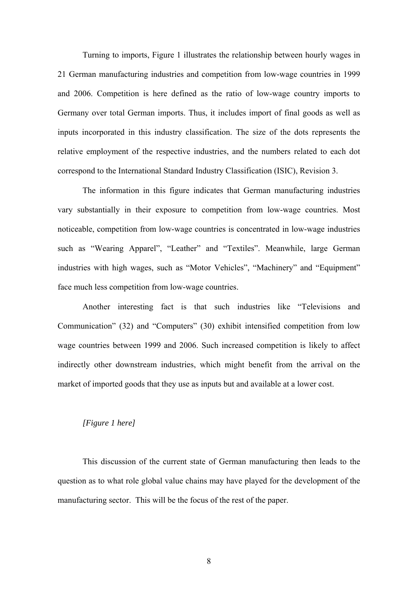Turning to imports, Figure 1 illustrates the relationship between hourly wages in 21 German manufacturing industries and competition from low-wage countries in 1999 and 2006. Competition is here defined as the ratio of low-wage country imports to Germany over total German imports. Thus, it includes import of final goods as well as inputs incorporated in this industry classification. The size of the dots represents the relative employment of the respective industries, and the numbers related to each dot correspond to the International Standard Industry Classification (ISIC), Revision 3.

The information in this figure indicates that German manufacturing industries vary substantially in their exposure to competition from low-wage countries. Most noticeable, competition from low-wage countries is concentrated in low-wage industries such as "Wearing Apparel", "Leather" and "Textiles". Meanwhile, large German industries with high wages, such as "Motor Vehicles", "Machinery" and "Equipment" face much less competition from low-wage countries.

Another interesting fact is that such industries like "Televisions and Communication" (32) and "Computers" (30) exhibit intensified competition from low wage countries between 1999 and 2006. Such increased competition is likely to affect indirectly other downstream industries, which might benefit from the arrival on the market of imported goods that they use as inputs but and available at a lower cost.

#### *[Figure 1 here]*

This discussion of the current state of German manufacturing then leads to the question as to what role global value chains may have played for the development of the manufacturing sector. This will be the focus of the rest of the paper.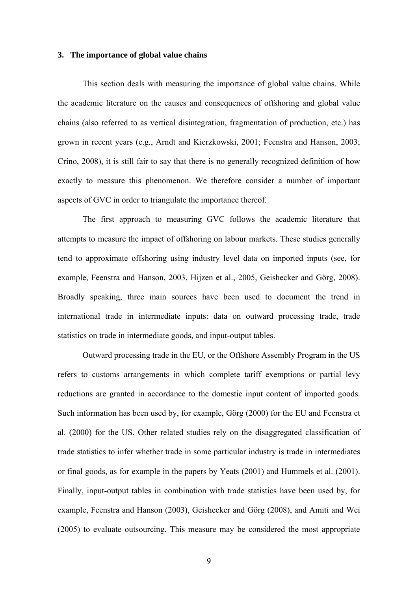#### **3. The importance of global value chains**

This section deals with measuring the importance of global value chains. While the academic literature on the causes and consequences of offshoring and global value chains (also referred to as vertical disintegration, fragmentation of production, etc.) has grown in recent years (e.g., Arndt and Kierzkowski, 2001; Feenstra and Hanson, 2003; Crino, 2008), it is still fair to say that there is no generally recognized definition of how exactly to measure this phenomenon. We therefore consider a number of important aspects of GVC in order to triangulate the importance thereof.

The first approach to measuring GVC follows the academic literature that attempts to measure the impact of offshoring on labour markets. These studies generally tend to approximate offshoring using industry level data on imported inputs (see, for example, Feenstra and Hanson, 2003, Hijzen et al., 2005, Geishecker and Görg, 2008). Broadly speaking, three main sources have been used to document the trend in international trade in intermediate inputs: data on outward processing trade, trade statistics on trade in intermediate goods, and input-output tables.

Outward processing trade in the EU, or the Offshore Assembly Program in the US refers to customs arrangements in which complete tariff exemptions or partial levy reductions are granted in accordance to the domestic input content of imported goods. Such information has been used by, for example, Görg (2000) for the EU and Feenstra et al. (2000) for the US. Other related studies rely on the disaggregated classification of trade statistics to infer whether trade in some particular industry is trade in intermediates or final goods, as for example in the papers by Yeats (2001) and Hummels et al. (2001). Finally, input-output tables in combination with trade statistics have been used by, for example, Feenstra and Hanson (2003), Geishecker and Görg (2008), and Amiti and Wei (2005) to evaluate outsourcing. This measure may be considered the most appropriate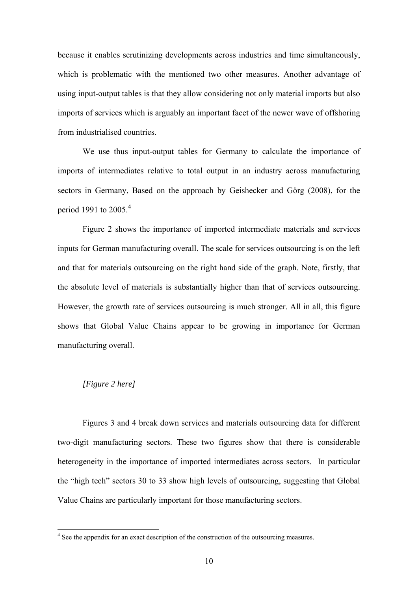because it enables scrutinizing developments across industries and time simultaneously, which is problematic with the mentioned two other measures. Another advantage of using input-output tables is that they allow considering not only material imports but also imports of services which is arguably an important facet of the newer wave of offshoring from industrialised countries.

We use thus input-output tables for Germany to calculate the importance of imports of intermediates relative to total output in an industry across manufacturing sectors in Germany, Based on the approach by Geishecker and Görg (2008), for the period 1991 to 2005.<sup>[4](#page-9-0)</sup>

Figure 2 shows the importance of imported intermediate materials and services inputs for German manufacturing overall. The scale for services outsourcing is on the left and that for materials outsourcing on the right hand side of the graph. Note, firstly, that the absolute level of materials is substantially higher than that of services outsourcing. However, the growth rate of services outsourcing is much stronger. All in all, this figure shows that Global Value Chains appear to be growing in importance for German manufacturing overall.

#### *[Figure 2 here]*

Figures 3 and 4 break down services and materials outsourcing data for different two-digit manufacturing sectors. These two figures show that there is considerable heterogeneity in the importance of imported intermediates across sectors. In particular the "high tech" sectors 30 to 33 show high levels of outsourcing, suggesting that Global Value Chains are particularly important for those manufacturing sectors.

<span id="page-9-0"></span><sup>&</sup>lt;sup>4</sup> See the appendix for an exact description of the construction of the outsourcing measures.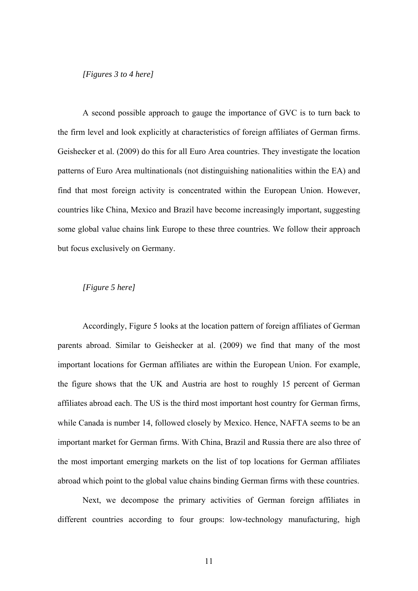#### *[Figures 3 to 4 here]*

A second possible approach to gauge the importance of GVC is to turn back to the firm level and look explicitly at characteristics of foreign affiliates of German firms. Geishecker et al. (2009) do this for all Euro Area countries. They investigate the location patterns of Euro Area multinationals (not distinguishing nationalities within the EA) and find that most foreign activity is concentrated within the European Union. However, countries like China, Mexico and Brazil have become increasingly important, suggesting some global value chains link Europe to these three countries. We follow their approach but focus exclusively on Germany.

#### *[Figure 5 here]*

Accordingly, Figure 5 looks at the location pattern of foreign affiliates of German parents abroad. Similar to Geishecker at al. (2009) we find that many of the most important locations for German affiliates are within the European Union. For example, the figure shows that the UK and Austria are host to roughly 15 percent of German affiliates abroad each. The US is the third most important host country for German firms, while Canada is number 14, followed closely by Mexico. Hence, NAFTA seems to be an important market for German firms. With China, Brazil and Russia there are also three of the most important emerging markets on the list of top locations for German affiliates abroad which point to the global value chains binding German firms with these countries.

Next, we decompose the primary activities of German foreign affiliates in different countries according to four groups: low-technology manufacturing, high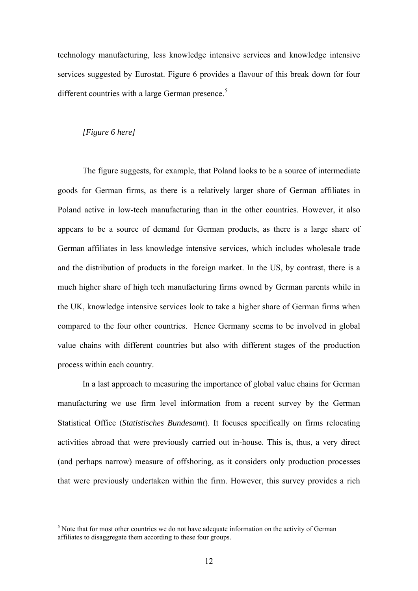technology manufacturing, less knowledge intensive services and knowledge intensive services suggested by Eurostat. Figure 6 provides a flavour of this break down for four different countries with a large German presence.<sup>[5](#page-11-0)</sup>

#### *[Figure 6 here]*

 $\overline{a}$ 

The figure suggests, for example, that Poland looks to be a source of intermediate goods for German firms, as there is a relatively larger share of German affiliates in Poland active in low-tech manufacturing than in the other countries. However, it also appears to be a source of demand for German products, as there is a large share of German affiliates in less knowledge intensive services, which includes wholesale trade and the distribution of products in the foreign market. In the US, by contrast, there is a much higher share of high tech manufacturing firms owned by German parents while in the UK, knowledge intensive services look to take a higher share of German firms when compared to the four other countries. Hence Germany seems to be involved in global value chains with different countries but also with different stages of the production process within each country.

In a last approach to measuring the importance of global value chains for German manufacturing we use firm level information from a recent survey by the German Statistical Office (*Statistisches Bundesamt*). It focuses specifically on firms relocating activities abroad that were previously carried out in-house. This is, thus, a very direct (and perhaps narrow) measure of offshoring, as it considers only production processes that were previously undertaken within the firm. However, this survey provides a rich

<span id="page-11-0"></span> $<sup>5</sup>$  Note that for most other countries we do not have adequate information on the activity of German</sup> affiliates to disaggregate them according to these four groups.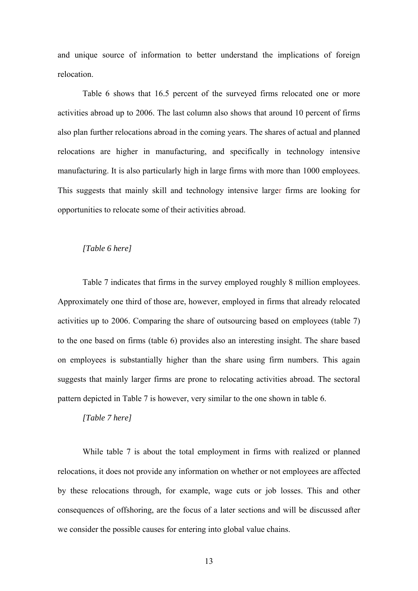and unique source of information to better understand the implications of foreign relocation.

Table 6 shows that 16.5 percent of the surveyed firms relocated one or more activities abroad up to 2006. The last column also shows that around 10 percent of firms also plan further relocations abroad in the coming years. The shares of actual and planned relocations are higher in manufacturing, and specifically in technology intensive manufacturing. It is also particularly high in large firms with more than 1000 employees. This suggests that mainly skill and technology intensive larger firms are looking for opportunities to relocate some of their activities abroad.

#### *[Table 6 here]*

Table 7 indicates that firms in the survey employed roughly 8 million employees. Approximately one third of those are, however, employed in firms that already relocated activities up to 2006. Comparing the share of outsourcing based on employees (table 7) to the one based on firms (table 6) provides also an interesting insight. The share based on employees is substantially higher than the share using firm numbers. This again suggests that mainly larger firms are prone to relocating activities abroad. The sectoral pattern depicted in Table 7 is however, very similar to the one shown in table 6.

#### *[Table 7 here]*

While table 7 is about the total employment in firms with realized or planned relocations, it does not provide any information on whether or not employees are affected by these relocations through, for example, wage cuts or job losses. This and other consequences of offshoring, are the focus of a later sections and will be discussed after we consider the possible causes for entering into global value chains.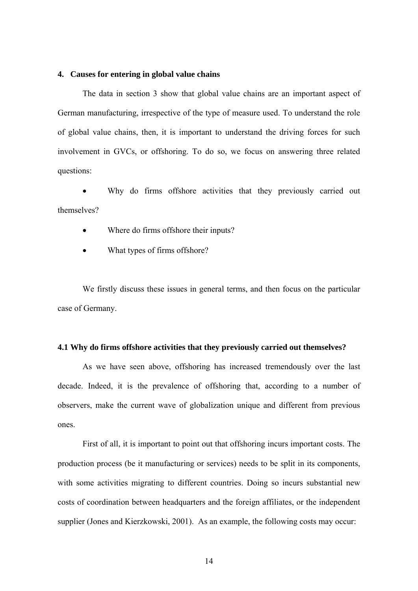#### **4. Causes for entering in global value chains**

The data in section 3 show that global value chains are an important aspect of German manufacturing, irrespective of the type of measure used. To understand the role of global value chains, then, it is important to understand the driving forces for such involvement in GVCs, or offshoring. To do so, we focus on answering three related questions:

Why do firms offshore activities that they previously carried out themselves?

- Where do firms offshore their inputs?
- What types of firms offshore?

We firstly discuss these issues in general terms, and then focus on the particular case of Germany.

#### **4.1 Why do firms offshore activities that they previously carried out themselves?**

As we have seen above, offshoring has increased tremendously over the last decade. Indeed, it is the prevalence of offshoring that, according to a number of observers, make the current wave of globalization unique and different from previous ones.

First of all, it is important to point out that offshoring incurs important costs. The production process (be it manufacturing or services) needs to be split in its components, with some activities migrating to different countries. Doing so incurs substantial new costs of coordination between headquarters and the foreign affiliates, or the independent supplier (Jones and Kierzkowski, 2001). As an example, the following costs may occur: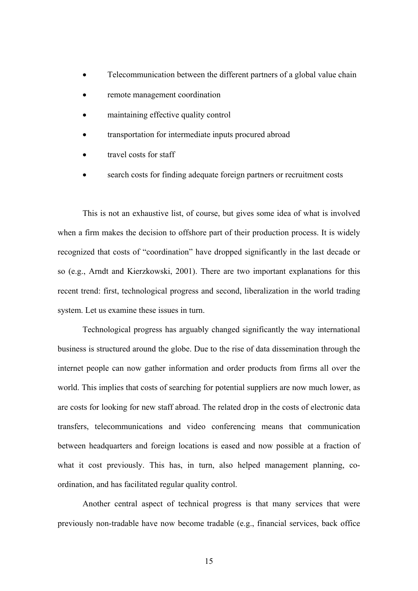- Telecommunication between the different partners of a global value chain
- remote management coordination
- maintaining effective quality control
- transportation for intermediate inputs procured abroad
- travel costs for staff
- search costs for finding adequate foreign partners or recruitment costs

This is not an exhaustive list, of course, but gives some idea of what is involved when a firm makes the decision to offshore part of their production process. It is widely recognized that costs of "coordination" have dropped significantly in the last decade or so (e.g., Arndt and Kierzkowski, 2001). There are two important explanations for this recent trend: first, technological progress and second, liberalization in the world trading system. Let us examine these issues in turn.

Technological progress has arguably changed significantly the way international business is structured around the globe. Due to the rise of data dissemination through the internet people can now gather information and order products from firms all over the world. This implies that costs of searching for potential suppliers are now much lower, as are costs for looking for new staff abroad. The related drop in the costs of electronic data transfers, telecommunications and video conferencing means that communication between headquarters and foreign locations is eased and now possible at a fraction of what it cost previously. This has, in turn, also helped management planning, coordination, and has facilitated regular quality control.

Another central aspect of technical progress is that many services that were previously non-tradable have now become tradable (e.g., financial services, back office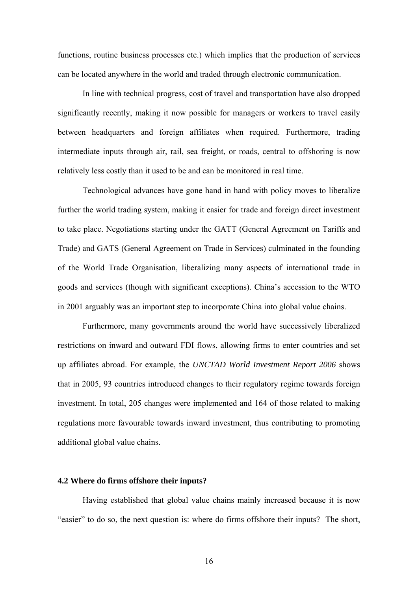functions, routine business processes etc.) which implies that the production of services can be located anywhere in the world and traded through electronic communication.

In line with technical progress, cost of travel and transportation have also dropped significantly recently, making it now possible for managers or workers to travel easily between headquarters and foreign affiliates when required. Furthermore, trading intermediate inputs through air, rail, sea freight, or roads, central to offshoring is now relatively less costly than it used to be and can be monitored in real time.

Technological advances have gone hand in hand with policy moves to liberalize further the world trading system, making it easier for trade and foreign direct investment to take place. Negotiations starting under the GATT (General Agreement on Tariffs and Trade) and GATS (General Agreement on Trade in Services) culminated in the founding of the World Trade Organisation, liberalizing many aspects of international trade in goods and services (though with significant exceptions). China's accession to the WTO in 2001 arguably was an important step to incorporate China into global value chains.

Furthermore, many governments around the world have successively liberalized restrictions on inward and outward FDI flows, allowing firms to enter countries and set up affiliates abroad. For example, the *UNCTAD World Investment Report 2006* shows that in 2005, 93 countries introduced changes to their regulatory regime towards foreign investment. In total, 205 changes were implemented and 164 of those related to making regulations more favourable towards inward investment, thus contributing to promoting additional global value chains.

#### **4.2 Where do firms offshore their inputs?**

Having established that global value chains mainly increased because it is now "easier" to do so, the next question is: where do firms offshore their inputs? The short,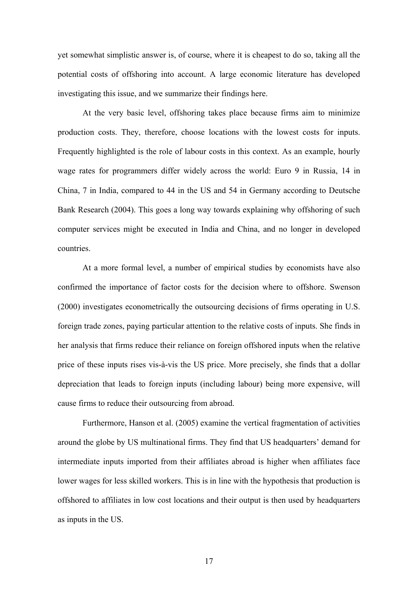yet somewhat simplistic answer is, of course, where it is cheapest to do so, taking all the potential costs of offshoring into account. A large economic literature has developed investigating this issue, and we summarize their findings here.

At the very basic level, offshoring takes place because firms aim to minimize production costs. They, therefore, choose locations with the lowest costs for inputs. Frequently highlighted is the role of labour costs in this context. As an example, hourly wage rates for programmers differ widely across the world: Euro 9 in Russia, 14 in China, 7 in India, compared to 44 in the US and 54 in Germany according to Deutsche Bank Research (2004). This goes a long way towards explaining why offshoring of such computer services might be executed in India and China, and no longer in developed countries.

At a more formal level, a number of empirical studies by economists have also confirmed the importance of factor costs for the decision where to offshore. Swenson (2000) investigates econometrically the outsourcing decisions of firms operating in U.S. foreign trade zones, paying particular attention to the relative costs of inputs. She finds in her analysis that firms reduce their reliance on foreign offshored inputs when the relative price of these inputs rises vis-à-vis the US price. More precisely, she finds that a dollar depreciation that leads to foreign inputs (including labour) being more expensive, will cause firms to reduce their outsourcing from abroad.

Furthermore, Hanson et al. (2005) examine the vertical fragmentation of activities around the globe by US multinational firms. They find that US headquarters' demand for intermediate inputs imported from their affiliates abroad is higher when affiliates face lower wages for less skilled workers. This is in line with the hypothesis that production is offshored to affiliates in low cost locations and their output is then used by headquarters as inputs in the US.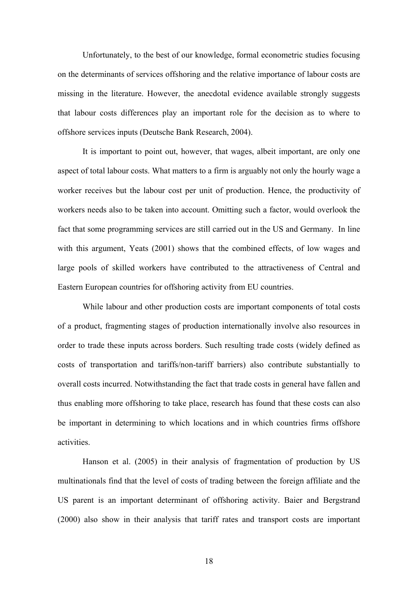Unfortunately, to the best of our knowledge, formal econometric studies focusing on the determinants of services offshoring and the relative importance of labour costs are missing in the literature. However, the anecdotal evidence available strongly suggests that labour costs differences play an important role for the decision as to where to offshore services inputs (Deutsche Bank Research, 2004).

It is important to point out, however, that wages, albeit important, are only one aspect of total labour costs. What matters to a firm is arguably not only the hourly wage a worker receives but the labour cost per unit of production. Hence, the productivity of workers needs also to be taken into account. Omitting such a factor, would overlook the fact that some programming services are still carried out in the US and Germany. In line with this argument, Yeats (2001) shows that the combined effects, of low wages and large pools of skilled workers have contributed to the attractiveness of Central and Eastern European countries for offshoring activity from EU countries.

While labour and other production costs are important components of total costs of a product, fragmenting stages of production internationally involve also resources in order to trade these inputs across borders. Such resulting trade costs (widely defined as costs of transportation and tariffs/non-tariff barriers) also contribute substantially to overall costs incurred. Notwithstanding the fact that trade costs in general have fallen and thus enabling more offshoring to take place, research has found that these costs can also be important in determining to which locations and in which countries firms offshore activities.

Hanson et al. (2005) in their analysis of fragmentation of production by US multinationals find that the level of costs of trading between the foreign affiliate and the US parent is an important determinant of offshoring activity. Baier and Bergstrand (2000) also show in their analysis that tariff rates and transport costs are important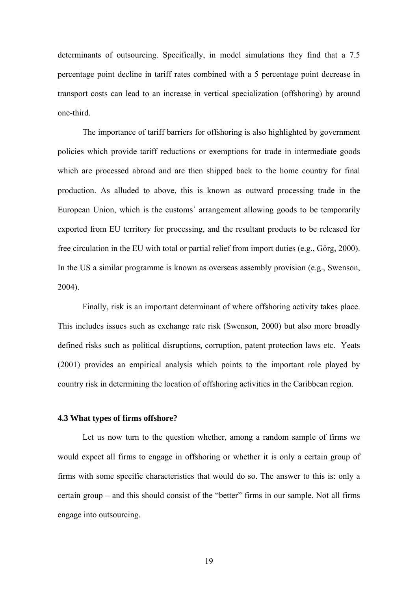determinants of outsourcing. Specifically, in model simulations they find that a 7.5 percentage point decline in tariff rates combined with a 5 percentage point decrease in transport costs can lead to an increase in vertical specialization (offshoring) by around one-third.

The importance of tariff barriers for offshoring is also highlighted by government policies which provide tariff reductions or exemptions for trade in intermediate goods which are processed abroad and are then shipped back to the home country for final production. As alluded to above, this is known as outward processing trade in the European Union, which is the customs´ arrangement allowing goods to be temporarily exported from EU territory for processing, and the resultant products to be released for free circulation in the EU with total or partial relief from import duties (e.g., Görg, 2000). In the US a similar programme is known as overseas assembly provision (e.g., Swenson, 2004).

Finally, risk is an important determinant of where offshoring activity takes place. This includes issues such as exchange rate risk (Swenson, 2000) but also more broadly defined risks such as political disruptions, corruption, patent protection laws etc. Yeats (2001) provides an empirical analysis which points to the important role played by country risk in determining the location of offshoring activities in the Caribbean region.

#### **4.3 What types of firms offshore?**

Let us now turn to the question whether, among a random sample of firms we would expect all firms to engage in offshoring or whether it is only a certain group of firms with some specific characteristics that would do so. The answer to this is: only a certain group – and this should consist of the "better" firms in our sample. Not all firms engage into outsourcing.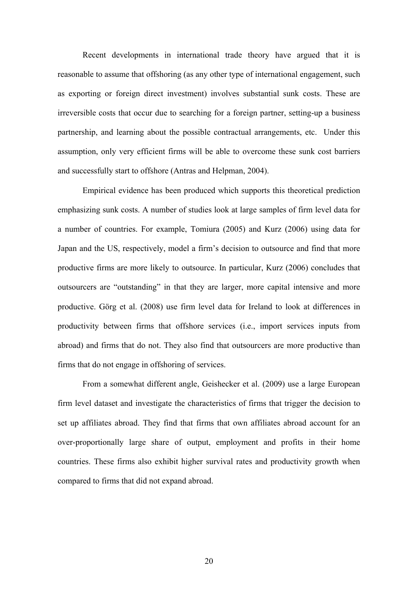Recent developments in international trade theory have argued that it is reasonable to assume that offshoring (as any other type of international engagement, such as exporting or foreign direct investment) involves substantial sunk costs. These are irreversible costs that occur due to searching for a foreign partner, setting-up a business partnership, and learning about the possible contractual arrangements, etc. Under this assumption, only very efficient firms will be able to overcome these sunk cost barriers and successfully start to offshore (Antras and Helpman, 2004).

Empirical evidence has been produced which supports this theoretical prediction emphasizing sunk costs. A number of studies look at large samples of firm level data for a number of countries. For example, Tomiura (2005) and Kurz (2006) using data for Japan and the US, respectively, model a firm's decision to outsource and find that more productive firms are more likely to outsource. In particular, Kurz (2006) concludes that outsourcers are "outstanding" in that they are larger, more capital intensive and more productive. Görg et al. (2008) use firm level data for Ireland to look at differences in productivity between firms that offshore services (i.e., import services inputs from abroad) and firms that do not. They also find that outsourcers are more productive than firms that do not engage in offshoring of services.

From a somewhat different angle, Geishecker et al. (2009) use a large European firm level dataset and investigate the characteristics of firms that trigger the decision to set up affiliates abroad. They find that firms that own affiliates abroad account for an over-proportionally large share of output, employment and profits in their home countries. These firms also exhibit higher survival rates and productivity growth when compared to firms that did not expand abroad.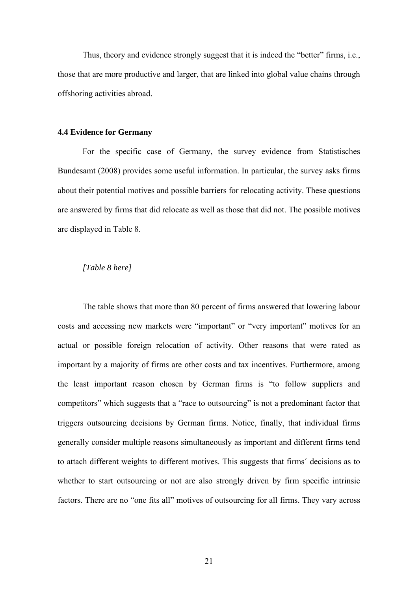Thus, theory and evidence strongly suggest that it is indeed the "better" firms, i.e., those that are more productive and larger, that are linked into global value chains through offshoring activities abroad.

#### **4.4 Evidence for Germany**

For the specific case of Germany, the survey evidence from Statistisches Bundesamt (2008) provides some useful information. In particular, the survey asks firms about their potential motives and possible barriers for relocating activity. These questions are answered by firms that did relocate as well as those that did not. The possible motives are displayed in Table 8.

#### *[Table 8 here]*

The table shows that more than 80 percent of firms answered that lowering labour costs and accessing new markets were "important" or "very important" motives for an actual or possible foreign relocation of activity. Other reasons that were rated as important by a majority of firms are other costs and tax incentives. Furthermore, among the least important reason chosen by German firms is "to follow suppliers and competitors" which suggests that a "race to outsourcing" is not a predominant factor that triggers outsourcing decisions by German firms. Notice, finally, that individual firms generally consider multiple reasons simultaneously as important and different firms tend to attach different weights to different motives. This suggests that firms´ decisions as to whether to start outsourcing or not are also strongly driven by firm specific intrinsic factors. There are no "one fits all" motives of outsourcing for all firms. They vary across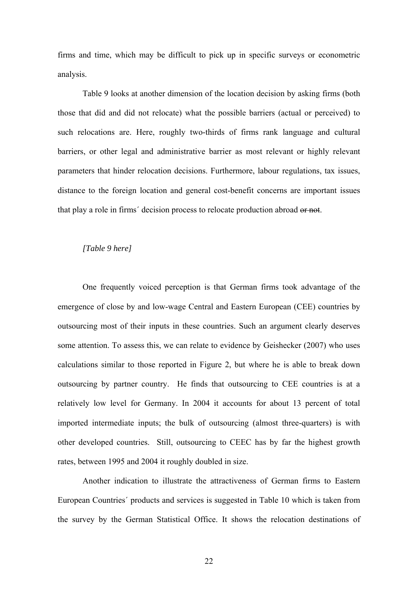firms and time, which may be difficult to pick up in specific surveys or econometric analysis.

Table 9 looks at another dimension of the location decision by asking firms (both those that did and did not relocate) what the possible barriers (actual or perceived) to such relocations are. Here, roughly two-thirds of firms rank language and cultural barriers, or other legal and administrative barrier as most relevant or highly relevant parameters that hinder relocation decisions. Furthermore, labour regulations, tax issues, distance to the foreign location and general cost-benefit concerns are important issues that play a role in firms´ decision process to relocate production abroad or not.

#### *[Table 9 here]*

One frequently voiced perception is that German firms took advantage of the emergence of close by and low-wage Central and Eastern European (CEE) countries by outsourcing most of their inputs in these countries. Such an argument clearly deserves some attention. To assess this, we can relate to evidence by Geishecker (2007) who uses calculations similar to those reported in Figure 2, but where he is able to break down outsourcing by partner country. He finds that outsourcing to CEE countries is at a relatively low level for Germany. In 2004 it accounts for about 13 percent of total imported intermediate inputs; the bulk of outsourcing (almost three-quarters) is with other developed countries. Still, outsourcing to CEEC has by far the highest growth rates, between 1995 and 2004 it roughly doubled in size.

Another indication to illustrate the attractiveness of German firms to Eastern European Countries´ products and services is suggested in Table 10 which is taken from the survey by the German Statistical Office. It shows the relocation destinations of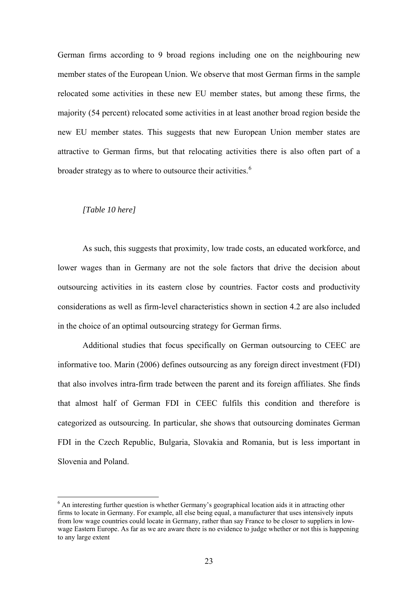German firms according to 9 broad regions including one on the neighbouring new member states of the European Union. We observe that most German firms in the sample relocated some activities in these new EU member states, but among these firms, the majority (54 percent) relocated some activities in at least another broad region beside the new EU member states. This suggests that new European Union member states are attractive to German firms, but that relocating activities there is also often part of a broader strategy as to where to outsource their activities.<sup>[6](#page-22-0)</sup>

#### *[Table 10 here]*

 $\overline{a}$ 

As such, this suggests that proximity, low trade costs, an educated workforce, and lower wages than in Germany are not the sole factors that drive the decision about outsourcing activities in its eastern close by countries. Factor costs and productivity considerations as well as firm-level characteristics shown in section 4.2 are also included in the choice of an optimal outsourcing strategy for German firms.

Additional studies that focus specifically on German outsourcing to CEEC are informative too. Marin (2006) defines outsourcing as any foreign direct investment (FDI) that also involves intra-firm trade between the parent and its foreign affiliates. She finds that almost half of German FDI in CEEC fulfils this condition and therefore is categorized as outsourcing. In particular, she shows that outsourcing dominates German FDI in the Czech Republic, Bulgaria, Slovakia and Romania, but is less important in Slovenia and Poland.

<span id="page-22-0"></span><sup>&</sup>lt;sup>6</sup> An interesting further question is whether Germany's geographical location aids it in attracting other firms to locate in Germany. For example, all else being equal, a manufacturer that uses intensively inputs from low wage countries could locate in Germany, rather than say France to be closer to suppliers in lowwage Eastern Europe. As far as we are aware there is no evidence to judge whether or not this is happening to any large extent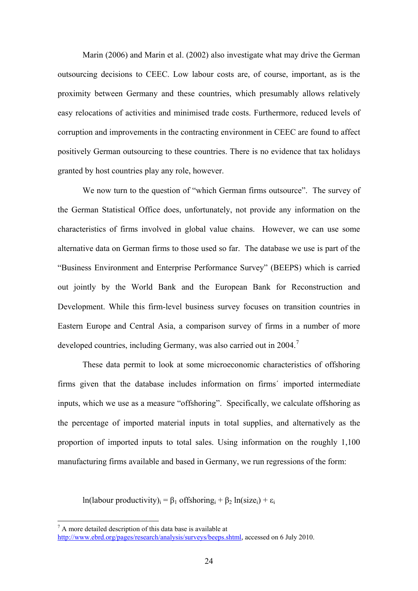Marin (2006) and Marin et al. (2002) also investigate what may drive the German outsourcing decisions to CEEC. Low labour costs are, of course, important, as is the proximity between Germany and these countries, which presumably allows relatively easy relocations of activities and minimised trade costs. Furthermore, reduced levels of corruption and improvements in the contracting environment in CEEC are found to affect positively German outsourcing to these countries. There is no evidence that tax holidays granted by host countries play any role, however.

We now turn to the question of "which German firms outsource". The survey of the German Statistical Office does, unfortunately, not provide any information on the characteristics of firms involved in global value chains. However, we can use some alternative data on German firms to those used so far. The database we use is part of the "Business Environment and Enterprise Performance Survey" (BEEPS) which is carried out jointly by the World Bank and the European Bank for Reconstruction and Development. While this firm-level business survey focuses on transition countries in Eastern Europe and Central Asia, a comparison survey of firms in a number of more developed countries, including Germany, was also carried out in 2004.<sup>[7](#page-23-0)</sup>

These data permit to look at some microeconomic characteristics of offshoring firms given that the database includes information on firms´ imported intermediate inputs, which we use as a measure "offshoring". Specifically, we calculate offshoring as the percentage of imported material inputs in total supplies, and alternatively as the proportion of imported inputs to total sales. Using information on the roughly 1,100 manufacturing firms available and based in Germany, we run regressions of the form:

ln(labour productivity)<sub>i</sub> =  $\beta_1$  offshoring<sub>i</sub> +  $\beta_2$  ln(size<sub>i</sub>) +  $\varepsilon_1$ 

 $\overline{a}$ 

<span id="page-23-0"></span> $7 A$  more detailed description of this data base is available at

<http://www.ebrd.org/pages/research/analysis/surveys/beeps.shtml>, accessed on 6 July 2010.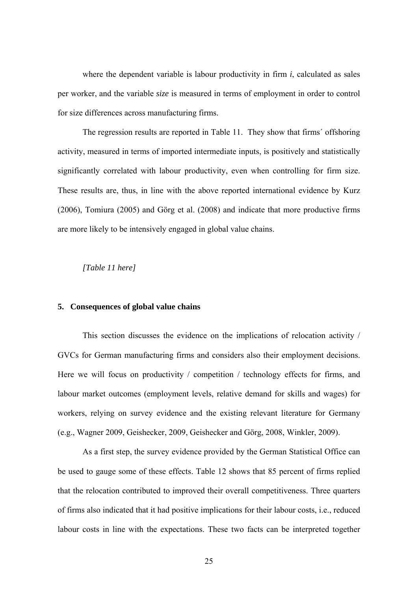where the dependent variable is labour productivity in firm *i*, calculated as sales per worker, and the variable *size* is measured in terms of employment in order to control for size differences across manufacturing firms.

The regression results are reported in Table 11. They show that firms´ offshoring activity, measured in terms of imported intermediate inputs, is positively and statistically significantly correlated with labour productivity, even when controlling for firm size. These results are, thus, in line with the above reported international evidence by Kurz (2006), Tomiura (2005) and Görg et al. (2008) and indicate that more productive firms are more likely to be intensively engaged in global value chains.

#### *[Table 11 here]*

#### **5. Consequences of global value chains**

This section discusses the evidence on the implications of relocation activity / GVCs for German manufacturing firms and considers also their employment decisions. Here we will focus on productivity / competition / technology effects for firms, and labour market outcomes (employment levels, relative demand for skills and wages) for workers, relying on survey evidence and the existing relevant literature for Germany (e.g., Wagner 2009, Geishecker, 2009, Geishecker and Görg, 2008, Winkler, 2009).

As a first step, the survey evidence provided by the German Statistical Office can be used to gauge some of these effects. Table 12 shows that 85 percent of firms replied that the relocation contributed to improved their overall competitiveness. Three quarters of firms also indicated that it had positive implications for their labour costs, i.e., reduced labour costs in line with the expectations. These two facts can be interpreted together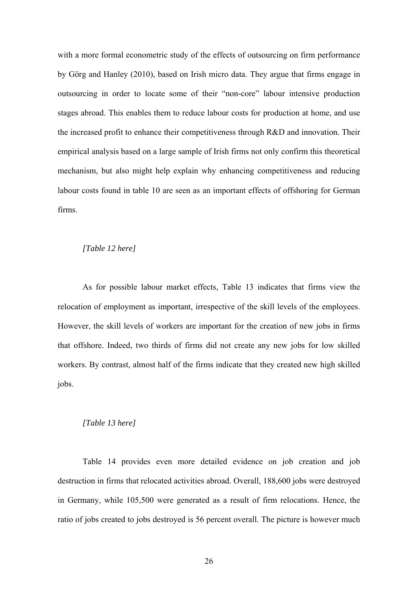with a more formal econometric study of the effects of outsourcing on firm performance by Görg and Hanley (2010), based on Irish micro data. They argue that firms engage in outsourcing in order to locate some of their "non-core" labour intensive production stages abroad. This enables them to reduce labour costs for production at home, and use the increased profit to enhance their competitiveness through R&D and innovation. Their empirical analysis based on a large sample of Irish firms not only confirm this theoretical mechanism, but also might help explain why enhancing competitiveness and reducing labour costs found in table 10 are seen as an important effects of offshoring for German firms.

#### *[Table 12 here]*

As for possible labour market effects, Table 13 indicates that firms view the relocation of employment as important, irrespective of the skill levels of the employees. However, the skill levels of workers are important for the creation of new jobs in firms that offshore. Indeed, two thirds of firms did not create any new jobs for low skilled workers. By contrast, almost half of the firms indicate that they created new high skilled jobs.

#### *[Table 13 here]*

Table 14 provides even more detailed evidence on job creation and job destruction in firms that relocated activities abroad. Overall, 188,600 jobs were destroyed in Germany, while 105,500 were generated as a result of firm relocations. Hence, the ratio of jobs created to jobs destroyed is 56 percent overall. The picture is however much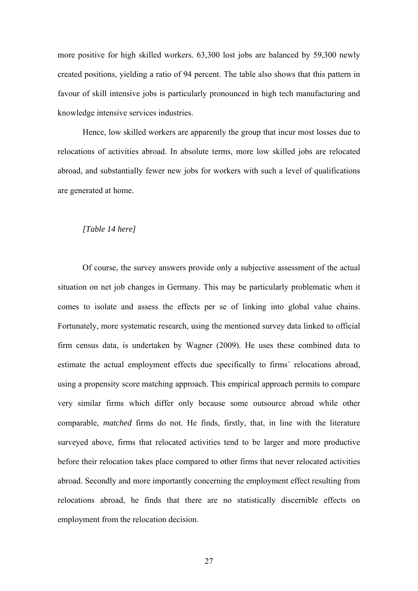more positive for high skilled workers. 63,300 lost jobs are balanced by 59,300 newly created positions, yielding a ratio of 94 percent. The table also shows that this pattern in favour of skill intensive jobs is particularly pronounced in high tech manufacturing and knowledge intensive services industries.

Hence, low skilled workers are apparently the group that incur most losses due to relocations of activities abroad. In absolute terms, more low skilled jobs are relocated abroad, and substantially fewer new jobs for workers with such a level of qualifications are generated at home.

#### *[Table 14 here]*

Of course, the survey answers provide only a subjective assessment of the actual situation on net job changes in Germany. This may be particularly problematic when it comes to isolate and assess the effects per se of linking into global value chains. Fortunately, more systematic research, using the mentioned survey data linked to official firm census data, is undertaken by Wagner (2009). He uses these combined data to estimate the actual employment effects due specifically to firms´ relocations abroad, using a propensity score matching approach. This empirical approach permits to compare very similar firms which differ only because some outsource abroad while other comparable, *matched* firms do not. He finds, firstly, that, in line with the literature surveyed above, firms that relocated activities tend to be larger and more productive before their relocation takes place compared to other firms that never relocated activities abroad. Secondly and more importantly concerning the employment effect resulting from relocations abroad, he finds that there are no statistically discernible effects on employment from the relocation decision.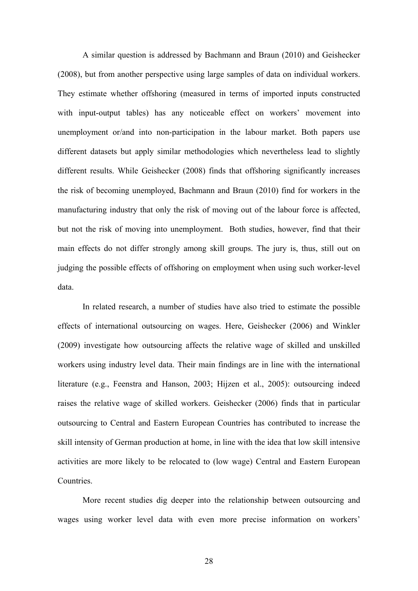A similar question is addressed by Bachmann and Braun (2010) and Geishecker (2008), but from another perspective using large samples of data on individual workers. They estimate whether offshoring (measured in terms of imported inputs constructed with input-output tables) has any noticeable effect on workers' movement into unemployment or/and into non-participation in the labour market. Both papers use different datasets but apply similar methodologies which nevertheless lead to slightly different results. While Geishecker (2008) finds that offshoring significantly increases the risk of becoming unemployed, Bachmann and Braun (2010) find for workers in the manufacturing industry that only the risk of moving out of the labour force is affected, but not the risk of moving into unemployment. Both studies, however, find that their main effects do not differ strongly among skill groups. The jury is, thus, still out on judging the possible effects of offshoring on employment when using such worker-level data.

In related research, a number of studies have also tried to estimate the possible effects of international outsourcing on wages. Here, Geishecker (2006) and Winkler (2009) investigate how outsourcing affects the relative wage of skilled and unskilled workers using industry level data. Their main findings are in line with the international literature (e.g., Feenstra and Hanson, 2003; Hijzen et al., 2005): outsourcing indeed raises the relative wage of skilled workers. Geishecker (2006) finds that in particular outsourcing to Central and Eastern European Countries has contributed to increase the skill intensity of German production at home, in line with the idea that low skill intensive activities are more likely to be relocated to (low wage) Central and Eastern European **Countries** 

More recent studies dig deeper into the relationship between outsourcing and wages using worker level data with even more precise information on workers'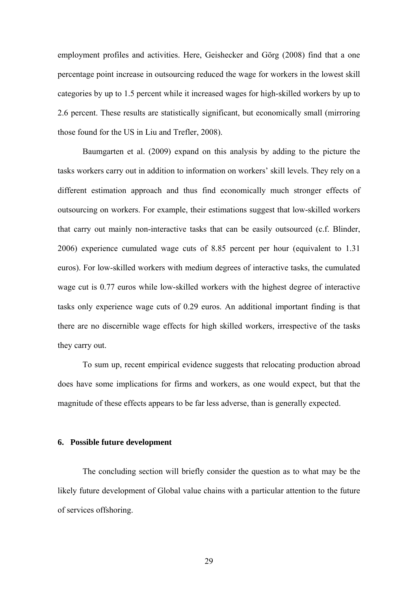employment profiles and activities. Here, Geishecker and Görg (2008) find that a one percentage point increase in outsourcing reduced the wage for workers in the lowest skill categories by up to 1.5 percent while it increased wages for high-skilled workers by up to 2.6 percent. These results are statistically significant, but economically small (mirroring those found for the US in Liu and Trefler, 2008).

Baumgarten et al. (2009) expand on this analysis by adding to the picture the tasks workers carry out in addition to information on workers' skill levels. They rely on a different estimation approach and thus find economically much stronger effects of outsourcing on workers. For example, their estimations suggest that low-skilled workers that carry out mainly non-interactive tasks that can be easily outsourced (c.f. Blinder, 2006) experience cumulated wage cuts of 8.85 percent per hour (equivalent to 1.31 euros). For low-skilled workers with medium degrees of interactive tasks, the cumulated wage cut is 0.77 euros while low-skilled workers with the highest degree of interactive tasks only experience wage cuts of 0.29 euros. An additional important finding is that there are no discernible wage effects for high skilled workers, irrespective of the tasks they carry out.

To sum up, recent empirical evidence suggests that relocating production abroad does have some implications for firms and workers, as one would expect, but that the magnitude of these effects appears to be far less adverse, than is generally expected.

#### **6. Possible future development**

The concluding section will briefly consider the question as to what may be the likely future development of Global value chains with a particular attention to the future of services offshoring.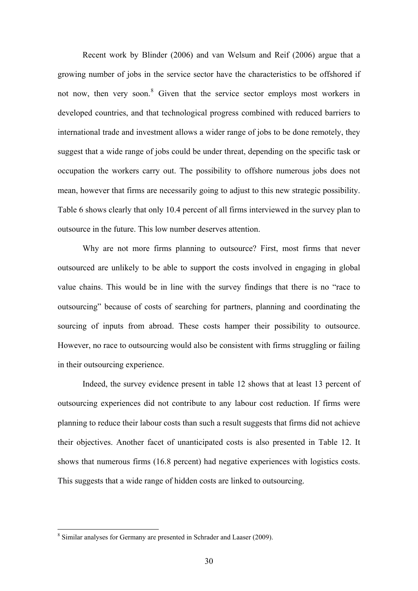Recent work by Blinder (2006) and van Welsum and Reif (2006) argue that a growing number of jobs in the service sector have the characteristics to be offshored if not now, then very soon.<sup>[8](#page-29-0)</sup> Given that the service sector employs most workers in developed countries, and that technological progress combined with reduced barriers to international trade and investment allows a wider range of jobs to be done remotely, they suggest that a wide range of jobs could be under threat, depending on the specific task or occupation the workers carry out. The possibility to offshore numerous jobs does not mean, however that firms are necessarily going to adjust to this new strategic possibility. Table 6 shows clearly that only 10.4 percent of all firms interviewed in the survey plan to outsource in the future. This low number deserves attention.

Why are not more firms planning to outsource? First, most firms that never outsourced are unlikely to be able to support the costs involved in engaging in global value chains. This would be in line with the survey findings that there is no "race to outsourcing" because of costs of searching for partners, planning and coordinating the sourcing of inputs from abroad. These costs hamper their possibility to outsource. However, no race to outsourcing would also be consistent with firms struggling or failing in their outsourcing experience.

Indeed, the survey evidence present in table 12 shows that at least 13 percent of outsourcing experiences did not contribute to any labour cost reduction. If firms were planning to reduce their labour costs than such a result suggests that firms did not achieve their objectives. Another facet of unanticipated costs is also presented in Table 12. It shows that numerous firms (16.8 percent) had negative experiences with logistics costs. This suggests that a wide range of hidden costs are linked to outsourcing.

 $\overline{a}$ 

<span id="page-29-0"></span><sup>&</sup>lt;sup>8</sup> Similar analyses for Germany are presented in Schrader and Laaser (2009).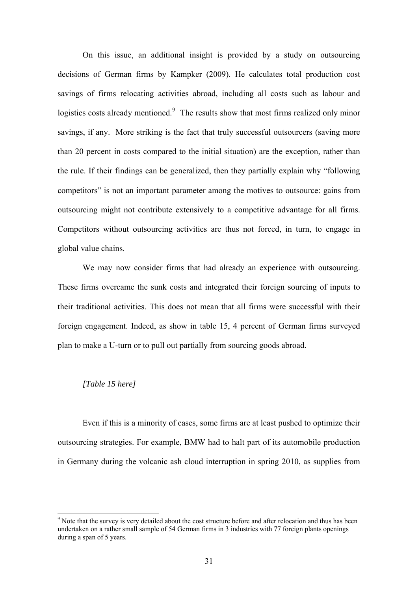On this issue, an additional insight is provided by a study on outsourcing decisions of German firms by Kampker (2009). He calculates total production cost savings of firms relocating activities abroad, including all costs such as labour and logistics costs already mentioned.<sup>[9](#page-30-0)</sup> The results show that most firms realized only minor savings, if any. More striking is the fact that truly successful outsourcers (saving more than 20 percent in costs compared to the initial situation) are the exception, rather than the rule. If their findings can be generalized, then they partially explain why "following competitors" is not an important parameter among the motives to outsource: gains from outsourcing might not contribute extensively to a competitive advantage for all firms. Competitors without outsourcing activities are thus not forced, in turn, to engage in global value chains.

We may now consider firms that had already an experience with outsourcing. These firms overcame the sunk costs and integrated their foreign sourcing of inputs to their traditional activities. This does not mean that all firms were successful with their foreign engagement. Indeed, as show in table 15, 4 percent of German firms surveyed plan to make a U-turn or to pull out partially from sourcing goods abroad.

#### *[Table 15 here]*

 $\overline{a}$ 

Even if this is a minority of cases, some firms are at least pushed to optimize their outsourcing strategies. For example, BMW had to halt part of its automobile production in Germany during the volcanic ash cloud interruption in spring 2010, as supplies from

<span id="page-30-0"></span><sup>&</sup>lt;sup>9</sup> Note that the survey is very detailed about the cost structure before and after relocation and thus has been undertaken on a rather small sample of 54 German firms in 3 industries with 77 foreign plants openings during a span of 5 years.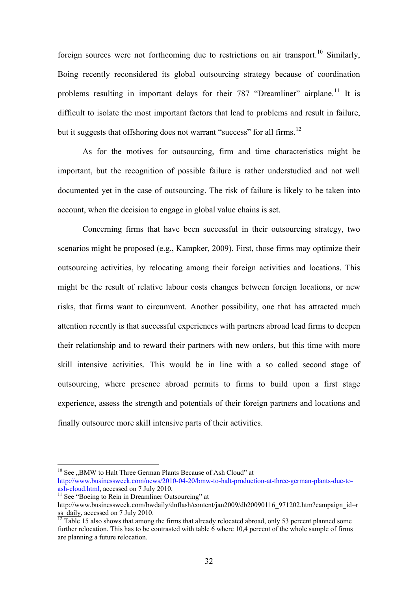foreign sources were not forthcoming due to restrictions on air transport.<sup>[10](#page-31-0)</sup> Similarly, Boing recently reconsidered its global outsourcing strategy because of coordination problems resulting in important delays for their 787 "Dreamliner" airplane.<sup>[11](#page-31-1)</sup> It is difficult to isolate the most important factors that lead to problems and result in failure, but it suggests that offshoring does not warrant "success" for all firms.<sup>[12](#page-31-2)</sup>

As for the motives for outsourcing, firm and time characteristics might be important, but the recognition of possible failure is rather understudied and not well documented yet in the case of outsourcing. The risk of failure is likely to be taken into account, when the decision to engage in global value chains is set.

Concerning firms that have been successful in their outsourcing strategy, two scenarios might be proposed (e.g., Kampker, 2009). First, those firms may optimize their outsourcing activities, by relocating among their foreign activities and locations. This might be the result of relative labour costs changes between foreign locations, or new risks, that firms want to circumvent. Another possibility, one that has attracted much attention recently is that successful experiences with partners abroad lead firms to deepen their relationship and to reward their partners with new orders, but this time with more skill intensive activities. This would be in line with a so called second stage of outsourcing, where presence abroad permits to firms to build upon a first stage experience, assess the strength and potentials of their foreign partners and locations and finally outsource more skill intensive parts of their activities.

 $\overline{a}$ 

 $10$  See  $\mu$ BMW to Halt Three German Plants Because of Ash Cloud" at

<span id="page-31-0"></span>http://www.businessweek.com/news/2010-04-20/bmw-to-halt-production-at-three-german-plants-due-to-<br>ash-cloud.html, accessed on 7 July 2010.

<span id="page-31-1"></span> $\frac{11}{11}$  $\frac{11}{11}$  $\frac{11}{11}$  See "Boeing to Rein in Dreamliner Outsourcing" at

[http://www.businessweek.com/bwdaily/dnflash/content/jan2009/db20090116\\_971202.htm?campaign\\_id=r](http://www.businessweek.com/bwdaily/dnflash/content/jan2009/db20090116_971202.htm?campaign_id=rss_daily)  $\frac{\text{sgn}(\text{1})}{\text{sgn}(\text{1})}$ , accessed on 7 July 2010.

<span id="page-31-2"></span>further relocation. This has to be contrasted with table 6 where 10,4 percent of the whole sample of firms are planning a future relocation.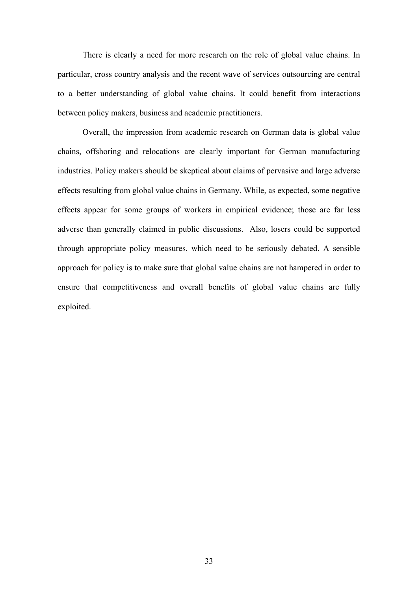There is clearly a need for more research on the role of global value chains. In particular, cross country analysis and the recent wave of services outsourcing are central to a better understanding of global value chains. It could benefit from interactions between policy makers, business and academic practitioners.

Overall, the impression from academic research on German data is global value chains, offshoring and relocations are clearly important for German manufacturing industries. Policy makers should be skeptical about claims of pervasive and large adverse effects resulting from global value chains in Germany. While, as expected, some negative effects appear for some groups of workers in empirical evidence; those are far less adverse than generally claimed in public discussions. Also, losers could be supported through appropriate policy measures, which need to be seriously debated. A sensible approach for policy is to make sure that global value chains are not hampered in order to ensure that competitiveness and overall benefits of global value chains are fully exploited.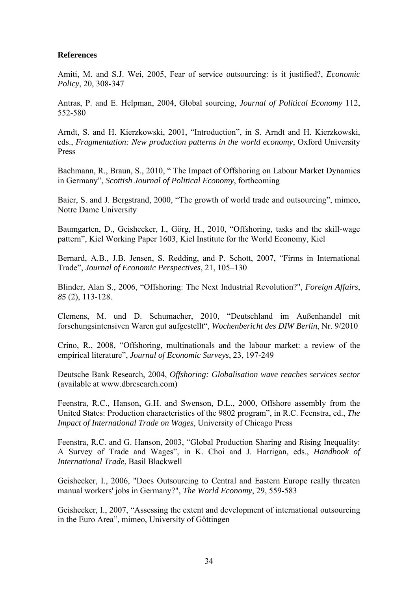#### **References**

Amiti, M. and S.J. Wei, 2005, Fear of service outsourcing: is it justified?, *Economic Policy*, 20, 308-347

Antras, P. and E. Helpman, 2004, Global sourcing, *Journal of Political Economy* 112, 552-580

Arndt, S. and H. Kierzkowski, 2001, "Introduction", in S. Arndt and H. Kierzkowski, eds., *Fragmentation: New production patterns in the world economy*, Oxford University Press

Bachmann, R., Braun, S., 2010, " [The Impact of Offshoring on Labour Market Dynamics](http://www.ifw-members.ifw-kiel.de/reference_catalog/lookupObject?uuid=6358de029021d4d18331685ebed8d96a)  [in Germany",](http://www.ifw-members.ifw-kiel.de/reference_catalog/lookupObject?uuid=6358de029021d4d18331685ebed8d96a) *Scottish Journal of Political Economy*, forthcoming

Baier, S. and J. Bergstrand, 2000, "The growth of world trade and outsourcing", mimeo, Notre Dame University

Baumgarten, D., Geishecker, I., Görg, H., 2010, "Offshoring, tasks and the skill-wage pattern", Kiel Working Paper 1603, Kiel Institute for the World Economy, Kiel

Bernard, A.B., J.B. Jensen, S. Redding, and P. Schott, 2007, "Firms in International Trade", *Journal of Economic Perspectives*, 21, 105–130

Blinder, Alan S., 2006, "Offshoring: The Next Industrial Revolution?", *Foreign Affairs*, *85* (2), 113-128.

Clemens, M. und D. Schumacher, 2010, "Deutschland im Außenhandel mit forschungsintensiven Waren gut aufgestellt", *Wochenbericht des DIW Berlin*, Nr. 9/2010

Crino, R., 2008, "Offshoring, multinationals and the labour market: a review of the empirical literature", *Journal of Economic Surveys*, 23, 197-249

Deutsche Bank Research, 2004, *Offshoring: Globalisation wave reaches services sector* (available at [www.dbresearch.com\)](http://www.dbresearch.com/)

Feenstra, R.C., Hanson, G.H. and Swenson, D.L., 2000, Offshore assembly from the United States: Production characteristics of the 9802 program", in R.C. Feenstra, ed., *The Impact of International Trade on Wages*, University of Chicago Press

Feenstra, R.C. and G. Hanson, 2003, ["Global Production Sharing and Rising Inequality:](http://www.econ.ucdavis.edu/faculty/fzfeens/pdf/Survey-Feenstra-HansonREV.pdf)  [A Survey of Trade and Wages"](http://www.econ.ucdavis.edu/faculty/fzfeens/pdf/Survey-Feenstra-HansonREV.pdf), in K. Choi and J. Harrigan, eds., *Handbook of International Trade*, Basil Blackwell

Geishecker, I., 2006, "Does Outsourcing to Central and Eastern Europe really threaten manual workers' jobs in Germany?", *The World Economy*, 29, 559-583

Geishecker, I., 2007, "Assessing the extent and development of international outsourcing in the Euro Area", mimeo, University of Göttingen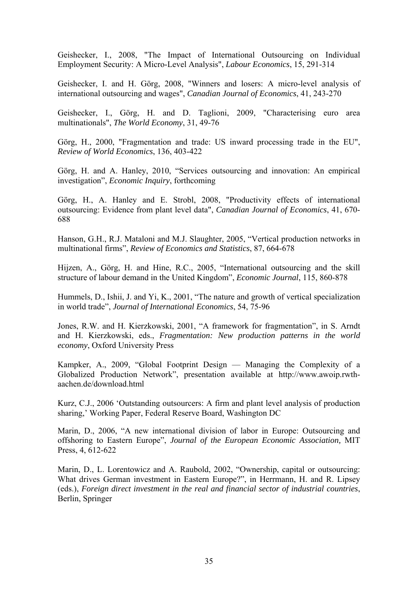Geishecker, I., 2008, "The Impact of International Outsourcing on Individual Employment Security: A Micro-Level Analysis", *Labour Economics*, 15, 291-314

Geishecker, I. and H. Görg, 2008, "Winners and losers: A micro-level analysis of international outsourcing and wages", *Canadian Journal of Economics*, 41, 243-270

Geishecker, I., Görg, H. and D. Taglioni, 2009, "Characterising euro area multinationals", *The World Economy*, 31, 49-76

Görg, H., 2000, "Fragmentation and trade: US inward processing trade in the EU", *Review of World Economics*, 136, 403-422

Görg, H. and A. Hanley, 2010, "Services outsourcing and innovation: An empirical investigation", *Economic Inquiry*, forthcoming

Görg, H., A. Hanley and E. Strobl, 2008, "Productivity effects of international outsourcing: Evidence from plant level data", *Canadian Journal of Economics*, 41, 670- 688

Hanson, G.H., R.J. Mataloni and M.J. Slaughter, 2005, "Vertical production networks in multinational firms", *Review of Economics and Statistics*, 87, 664-678

Hijzen, A., Görg, H. and Hine, R.C., 2005, "International outsourcing and the skill structure of labour demand in the United Kingdom", *Economic Journal*, 115, 860-878

Hummels, D., Ishii, J. and Yi, K., 2001, "The nature and growth of vertical specialization in world trade", *Journal of International Economics*, 54, 75-96

Jones, R.W. and H. Kierzkowski, 2001, "A framework for fragmentation", in S. Arndt and H. Kierzkowski, eds., *Fragmentation: New production patterns in the world economy*, Oxford University Press

Kampker, A., 2009, "Global Footprint Design — Managing the Complexity of a Globalized Production Network", presentation available at http://www.awoip.rwthaachen.de/download.html

Kurz, C.J., 2006 'Outstanding outsourcers: A firm and plant level analysis of production sharing,' Working Paper, Federal Reserve Board, Washington DC

Marin, D., 2006, "A new international division of labor in Europe: Outsourcing and offshoring to Eastern Europe", *Journal of the European Economic Association,* MIT Press, 4, 612-622

Marin, D., L. Lorentowicz and A. Raubold, 2002, "Ownership, capital or outsourcing: What drives German investment in Eastern Europe?", in Herrmann, H. and R. Lipsey (eds.), *Foreign direct investment in the real and financial sector of industrial countries*, Berlin, Springer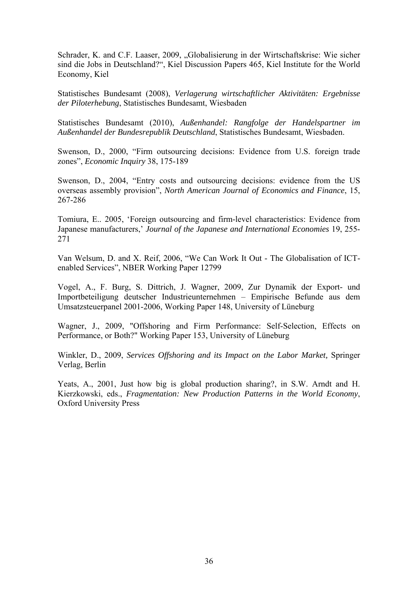Schrader, K. and C.F. Laaser, 2009, "Globalisierung in der Wirtschaftskrise: Wie sicher sind die Jobs in Deutschland?", Kiel Discussion Papers 465, Kiel Institute for the World Economy, Kiel

Statistisches Bundesamt (2008), *Verlagerung wirtschaftlicher Aktivitäten: Ergebnisse der Piloterhebung*, Statistisches Bundesamt, Wiesbaden

Statistisches Bundesamt (2010), *Außenhandel: Rangfolge der Handelspartner im Außenhandel der Bundesrepublik Deutschland*, Statistisches Bundesamt, Wiesbaden.

Swenson, D., 2000, "Firm outsourcing decisions: Evidence from U.S. foreign trade zones", *Economic Inquiry* 38, 175-189

Swenson, D., 2004, "Entry costs and outsourcing decisions: evidence from the US overseas assembly provision", *North American Journal of Economics and Finance*, 15, 267-286

Tomiura, E.. 2005, 'Foreign outsourcing and firm-level characteristics: Evidence from Japanese manufacturers,' *Journal of the Japanese and International Economies* 19, 255- 271

Van Welsum, D. and X. Reif, 2006, "We Can Work It Out - The Globalisation of ICTenabled Services", NBER Working Paper 12799

Vogel, A., F. Burg, S. Dittrich, J. Wagner, 2009, Zur Dynamik der Export- und Importbeteiligung deutscher Industrieunternehmen – Empirische Befunde aus dem Umsatzsteuerpanel 2001-2006, Working Paper 148, University of Lüneburg

Wagner, J., 2009, "Offshoring and Firm Performance: Self-Selection, Effects on Performance, or Both?" Working Paper 153, University of Lüneburg

Winkler, D., 2009, *Services Offshoring and its Impact on the Labor Market,* Springer Verlag, Berlin

Yeats, A., 2001, Just how big is global production sharing?, in S.W. Arndt and H. Kierzkowski, eds., *Fragmentation: New Production Patterns in the World Economy*, Oxford University Press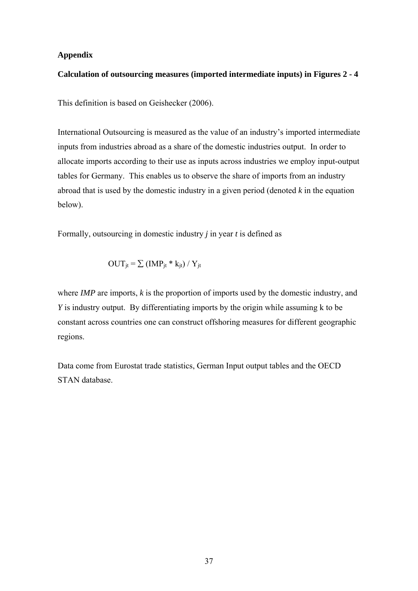#### **Appendix**

#### **Calculation of outsourcing measures (imported intermediate inputs) in Figures 2 - 4**

This definition is based on Geishecker (2006).

International Outsourcing is measured as the value of an industry's imported intermediate inputs from industries abroad as a share of the domestic industries output. In order to allocate imports according to their use as inputs across industries we employ input-output tables for Germany. This enables us to observe the share of imports from an industry abroad that is used by the domestic industry in a given period (denoted *k* in the equation below).

Formally, outsourcing in domestic industry *j* in year *t* is defined as

$$
OUT_{jt} = \sum (IMP_{jt} * k_{jt}) / Y_{jt}
$$

where *IMP* are imports, *k* is the proportion of imports used by the domestic industry, and *Y* is industry output. By differentiating imports by the origin while assuming k to be constant across countries one can construct offshoring measures for different geographic regions.

Data come from Eurostat trade statistics, German Input output tables and the OECD STAN database.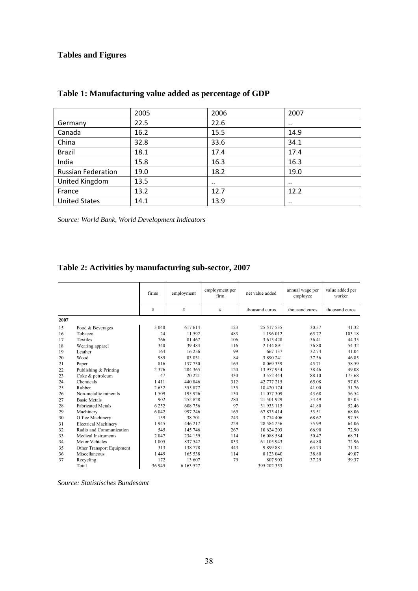## **Tables and Figures**

|                           | 2005 | 2006      | 2007      |
|---------------------------|------|-----------|-----------|
| Germany                   | 22.5 | 22.6      | $\cdot$ . |
| Canada                    | 16.2 | 15.5      | 14.9      |
| China                     | 32.8 | 33.6      | 34.1      |
| Brazil                    | 18.1 | 17.4      | 17.4      |
| India                     | 15.8 | 16.3      | 16.3      |
| <b>Russian Federation</b> | 19.0 | 18.2      | 19.0      |
| United Kingdom            | 13.5 | $\cdot$ . | $\cdot$ . |
| France                    | 13.2 | 12.7      | 12.2      |
| <b>United States</b>      | 14.1 | 13.9      | $\cdot$ . |

## **Table 1: Manufacturing value added as percentage of GDP**

*Source: World Bank, World Development Indicators* 

## **Table 2: Activities by manufacturing sub-sector, 2007**

|      |                             | firms   | employment | employment per<br>firm | net value added | annual wage per<br>employee | value added per<br>worker |
|------|-----------------------------|---------|------------|------------------------|-----------------|-----------------------------|---------------------------|
|      |                             | #       | #          | #                      | thousand euros  | thousand euros              | thousand euros            |
| 2007 |                             |         |            |                        |                 |                             |                           |
| 15   | Food & Beverages            | 5 0 4 0 | 617614     | 123                    | 25 517 535      | 30.57                       | 41.32                     |
| 16   | Tobacco                     | 24      | 11 592     | 483                    | 1 196 012       | 65.72                       | 103.18                    |
| 17   | Textiles                    | 766     | 81 467     | 106                    | 3 613 428       | 36.41                       | 44.35                     |
| 18   | Wearing apparel             | 340     | 39 4 8 4   | 116                    | 2 144 891       | 36.80                       | 54.32                     |
| 19   | Leather                     | 164     | 16 25 6    | 99                     | 667 137         | 32.74                       | 41.04                     |
| 20   | Wood                        | 989     | 83 031     | 84                     | 3 890 241       | 37.36                       | 46.85                     |
| 21   | Paper                       | 816     | 137 730    | 169                    | 8 0 69 3 39     | 45.71                       | 58.59                     |
| 22   | Publishing & Printing       | 2 3 7 6 | 284 365    | 120                    | 13 957 954      | 38.46                       | 49.08                     |
| 23   | Coke & petroleum            | 47      | 20 221     | 430                    | 3 5 5 2 4 4 4   | 88.10                       | 175.68                    |
| 24   | Chemicals                   | 1411    | 440 846    | 312                    | 42 777 215      | 65.08                       | 97.03                     |
| 25   | Rubber                      | 2632    | 355 877    | 135                    | 18 420 174      | 41.00                       | 51.76                     |
| 26   | Non-metallic minerals       | 1509    | 195 926    | 130                    | 11 077 309      | 43.68                       | 56.54                     |
| 27   | <b>Basic Metals</b>         | 902     | 252828     | 280                    | 21 501 929      | 54.49                       | 85.05                     |
| 28   | <b>Fabricated Metals</b>    | 6 2 5 2 | 608 756    | 97                     | 31 933 115      | 41.80                       | 52.46                     |
| 29   | Machinery                   | 6 0 4 2 | 997 246    | 165                    | 67 875 414      | 53.51                       | 68.06                     |
| 30   | Office Machinery            | 159     | 38 701     | 243                    | 3 774 406       | 68.62                       | 97.53                     |
| 31   | <b>Electrical Machinery</b> | 1945    | 446 217    | 229                    | 28 584 256      | 55.99                       | 64.06                     |
| 32   | Radio and Communication     | 545     | 145 746    | 267                    | 10 624 203      | 66.90                       | 72.90                     |
| 33   | <b>Medical Instruments</b>  | 2 0 4 7 | 234 159    | 114                    | 16 088 584      | 50.47                       | 68.71                     |
| 34   | <b>Motor Vehicles</b>       | 1 0 0 5 | 837 542    | 833                    | 61 105 943      | 64.80                       | 72.96                     |
| 35   | Other Transport Equipment   | 313     | 138 778    | 443                    | 9899881         | 63.73                       | 71.34                     |
| 36   | Miscellaneous               | 1449    | 165 538    | 114                    | 8 1 2 3 0 4 0   | 38.80                       | 49.07                     |
| 37   | Recycling                   | 172     | 13 607     | 79                     | 807 903         | 37.29                       | 59.37                     |
|      | Total                       | 36 945  | 6 163 527  |                        | 395 202 353     |                             |                           |

*Source: Statistisches Bundesamt*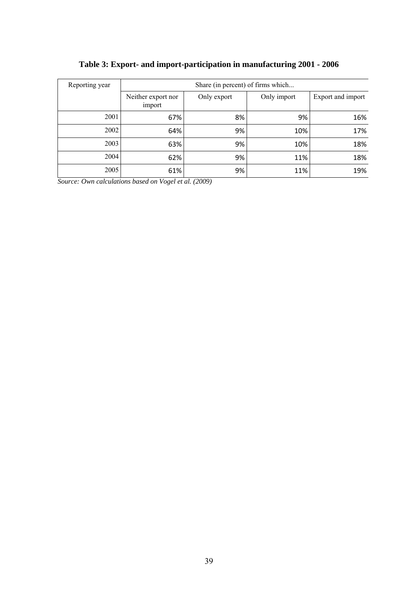| Reporting year | Share (in percent) of firms which |             |             |                   |  |  |
|----------------|-----------------------------------|-------------|-------------|-------------------|--|--|
|                | Neither export nor<br>import      | Only export | Only import | Export and import |  |  |
| 2001           | 67%                               | 8%          | 9%          | 16%               |  |  |
| 2002           | 64%                               | 9%          | 10%         | 17%               |  |  |
| 2003           | 63%                               | 9%          | 10%         | 18%               |  |  |
| 2004           | 62%                               | 9%          | 11%         | 18%               |  |  |
| 2005           | 61%                               | 9%          | 11%         | 19%               |  |  |

## **Table 3: Export- and import-participation in manufacturing 2001 - 2006**

*Source: Own calculations based on Vogel et al. (2009)*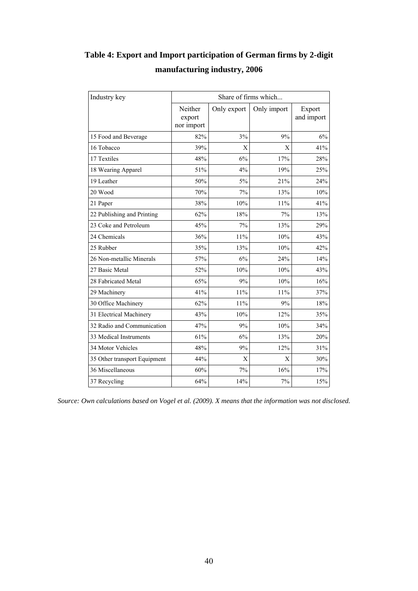# **Table 4: Export and Import participation of German firms by 2-digit manufacturing industry, 2006**

| Industry key                 | Share of firms which            |             |             |                      |  |  |
|------------------------------|---------------------------------|-------------|-------------|----------------------|--|--|
|                              | Neither<br>export<br>nor import | Only export | Only import | Export<br>and import |  |  |
| 15 Food and Beverage         | 82%                             | 3%          | 9%          | 6%                   |  |  |
| 16 Tobacco                   | 39%                             | X           | X           | 41%                  |  |  |
| 17 Textiles                  | 48%                             | 6%          | 17%         | 28%                  |  |  |
| 18 Wearing Apparel           | 51%                             | 4%          | 19%         | 25%                  |  |  |
| 19 Leather                   | 50%                             | 5%          | 21%         | 24%                  |  |  |
| 20 Wood                      | 70%                             | 7%          | 13%         | 10%                  |  |  |
| 21 Paper                     | 38%                             | 10%         | 11%         | 41%                  |  |  |
| 22 Publishing and Printing   | 62%                             | 18%         | 7%          | 13%                  |  |  |
| 23 Coke and Petroleum        | 45%                             | 7%          | 13%         | 29%                  |  |  |
| 24 Chemicals                 | 36%                             | 11%         | 10%         | 43%                  |  |  |
| 25 Rubber                    | 35%                             | 13%         | 10%         | 42%                  |  |  |
| 26 Non-metallic Minerals     | 57%                             | 6%          | 24%         | 14%                  |  |  |
| 27 Basic Metal               | 52%                             | 10%         | 10%         | 43%                  |  |  |
| 28 Fabricated Metal          | 65%                             | 9%          | 10%         | 16%                  |  |  |
| 29 Machinery                 | 41%                             | 11%         | 11%         | 37%                  |  |  |
| 30 Office Machinery          | 62%                             | 11%         | 9%          | 18%                  |  |  |
| 31 Electrical Machinery      | 43%                             | 10%         | 12%         | 35%                  |  |  |
| 32 Radio and Communication   | 47%                             | 9%          | 10%         | 34%                  |  |  |
| 33 Medical Instruments       | 61%                             | 6%          | 13%         | 20%                  |  |  |
| 34 Motor Vehicles            | 48%                             | 9%          | 12%         | 31%                  |  |  |
| 35 Other transport Equipment | 44%                             | X           | X           | 30%                  |  |  |
| 36 Miscellaneous             | 60%                             | 7%          | 16%         | 17%                  |  |  |
| 37 Recycling                 | 64%                             | 14%         | 7%          | 15%                  |  |  |

*Source: Own calculations based on Vogel et al. (2009). X means that the information was not disclosed.*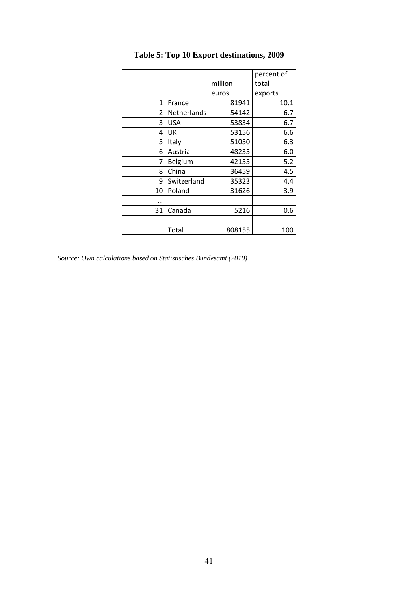|              |             |         | percent of |
|--------------|-------------|---------|------------|
|              |             | million | total      |
|              |             | euros   | exports    |
| $\mathbf{1}$ | France      | 81941   | 10.1       |
| 2            | Netherlands | 54142   | 6.7        |
| 3            | <b>USA</b>  | 53834   | 6.7        |
| 4            | UK          | 53156   | 6.6        |
| 5            | Italy       | 51050   | 6.3        |
| 6            | Austria     | 48235   | 6.0        |
| 7            | Belgium     | 42155   | 5.2        |
| 8            | China       | 36459   | 4.5        |
| 9            | Switzerland | 35323   | 4.4        |
| 10           | Poland      | 31626   | 3.9        |
|              |             |         |            |
| 31           | Canada      | 5216    | 0.6        |
|              |             |         |            |
|              | Total       | 808155  | 100        |

# **Table 5: Top 10 Export destinations, 2009**

*Source: Own calculations based on Statistisches Bundesamt (2010)*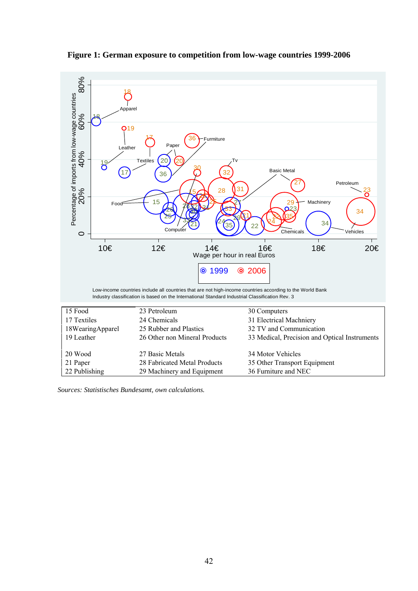**Figure 1: German exposure to competition from low-wage countries 1999-2006** 



*Sources: Statistisches Bundesamt, own calculations.*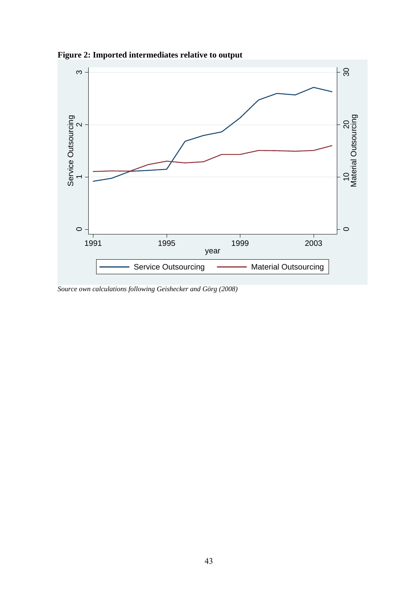

**Figure 2: Imported intermediates relative to output** 

*Source own calculations following Geishecker and Görg (2008)*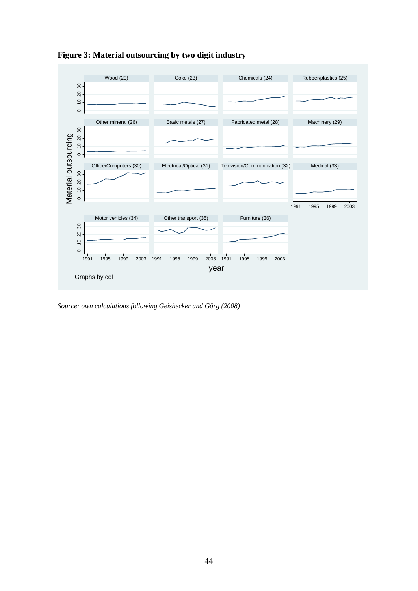

**Figure 3: Material outsourcing by two digit industry** 

*Source: own calculations following Geishecker and Görg (2008)*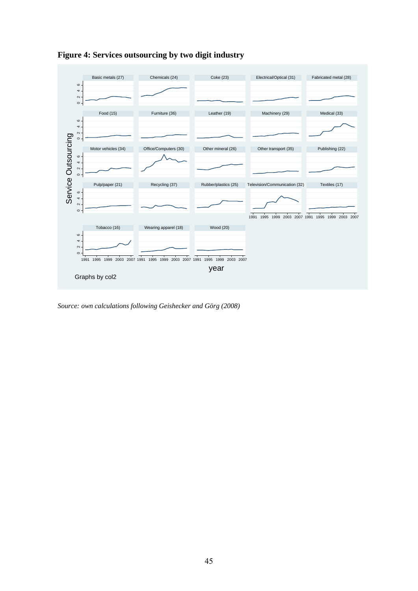

**Figure 4: Services outsourcing by two digit industry** 

*Source: own calculations following Geishecker and Görg (2008)*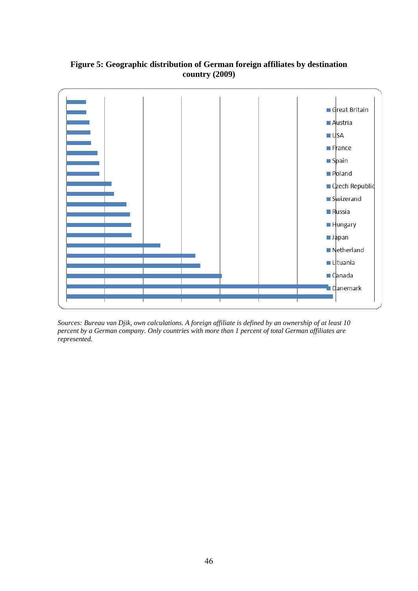### **Figure 5: Geographic distribution of German foreign affiliates by destination country (2009)**



*Sources: Bureau van Djik, own calculations. A foreign affiliate is defined by an ownership of at least 10 percent by a German company. Only countries with more than 1 percent of total German affiliates are represented.*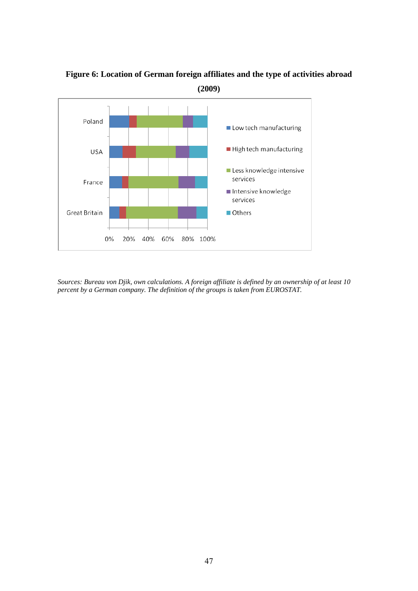

**Figure 6: Location of German foreign affiliates and the type of activities abroad (2009)** 

*Sources: Bureau von Djik, own calculations. A foreign affiliate is defined by an ownership of at least 10 percent by a German company. The definition of the groups is taken from EUROSTAT.*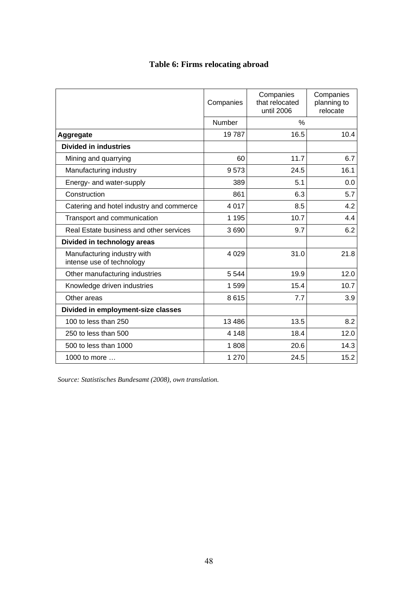|  |  | Table 6: Firms relocating abroad |  |
|--|--|----------------------------------|--|
|--|--|----------------------------------|--|

|                                                          | Companies | Companies<br>that relocated<br>until 2006 | Companies<br>planning to<br>relocate |
|----------------------------------------------------------|-----------|-------------------------------------------|--------------------------------------|
|                                                          | Number    | $\%$                                      |                                      |
| Aggregate                                                | 19787     | 16.5                                      | 10.4                                 |
| <b>Divided in industries</b>                             |           |                                           |                                      |
| Mining and quarrying                                     | 60        | 11.7                                      | 6.7                                  |
| Manufacturing industry                                   | 9573      | 24.5                                      | 16.1                                 |
| Energy- and water-supply                                 | 389       | 5.1                                       | 0.0                                  |
| Construction                                             | 861       | 6.3                                       | 5.7                                  |
| Catering and hotel industry and commerce                 | 4 0 1 7   | 8.5                                       | 4.2                                  |
| Transport and communication                              | 1 1 9 5   | 10.7                                      | 4.4                                  |
| Real Estate business and other services                  | 3690      | 9.7                                       | 6.2                                  |
| Divided in technology areas                              |           |                                           |                                      |
| Manufacturing industry with<br>intense use of technology | 4 0 2 9   | 31.0                                      | 21.8                                 |
| Other manufacturing industries                           | 5 5 4 4   | 19.9                                      | 12.0                                 |
| Knowledge driven industries                              | 1599      | 15.4                                      | 10.7                                 |
| Other areas                                              | 8615      | 7.7                                       | 3.9                                  |
| Divided in employment-size classes                       |           |                                           |                                      |
| 100 to less than 250                                     | 13 4 8 6  | 13.5                                      | 8.2                                  |
| 250 to less than 500                                     | 4 1 4 8   | 18.4                                      | 12.0                                 |
| 500 to less than 1000                                    | 1808      | 20.6                                      | 14.3                                 |
| 1000 to more $\dots$                                     | 1 270     | 24.5                                      | 15.2                                 |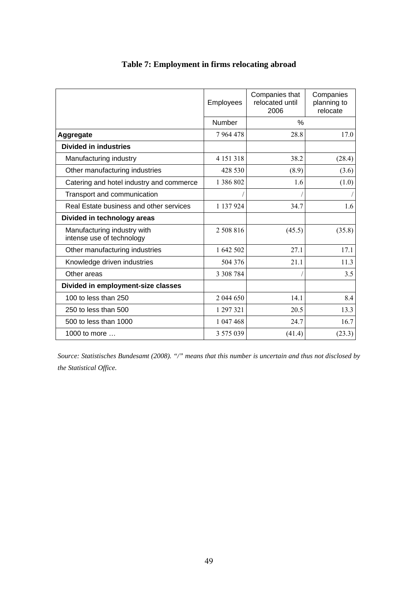|                                                          | Employees     | Companies that<br>relocated until<br>2006 | Companies<br>planning to<br>relocate |
|----------------------------------------------------------|---------------|-------------------------------------------|--------------------------------------|
|                                                          | Number        | $\%$                                      |                                      |
| Aggregate                                                | 7964478       | 28.8                                      | 17.0                                 |
| <b>Divided in industries</b>                             |               |                                           |                                      |
| Manufacturing industry                                   | 4 1 5 1 3 1 8 | 38.2                                      | (28.4)                               |
| Other manufacturing industries                           | 428 530       | (8.9)                                     | (3.6)                                |
| Catering and hotel industry and commerce                 | 1 386 802     | 1.6                                       | (1.0)                                |
| Transport and communication                              |               |                                           |                                      |
| Real Estate business and other services                  | 1 137 924     | 34.7                                      | 1.6                                  |
| Divided in technology areas                              |               |                                           |                                      |
| Manufacturing industry with<br>intense use of technology | 2 508 816     | (45.5)                                    | (35.8)                               |
| Other manufacturing industries                           | 1 642 502     | 27.1                                      | 17.1                                 |
| Knowledge driven industries                              | 504 376       | 21.1                                      | 11.3                                 |
| Other areas                                              | 3 3 0 8 7 8 4 |                                           | 3.5                                  |
| Divided in employment-size classes                       |               |                                           |                                      |
| 100 to less than 250                                     | 2 044 650     | 14.1                                      | 8.4                                  |
| 250 to less than 500                                     | 1 297 321     | 20.5                                      | 13.3                                 |
| 500 to less than 1000                                    | 1 047 468     | 24.7                                      | 16.7                                 |
| 1000 to more $\dots$                                     | 3 575 039     | (41.4)                                    | (23.3)                               |

## **Table 7: Employment in firms relocating abroad**

*Source: Statistisches Bundesamt (2008). "/" means that this number is uncertain and thus not disclosed by the Statistical Office.*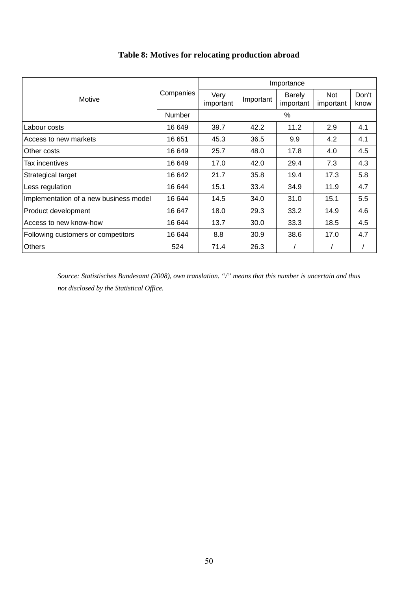|                                        |           | Importance        |               |                            |                  |               |  |  |
|----------------------------------------|-----------|-------------------|---------------|----------------------------|------------------|---------------|--|--|
| Motive                                 | Companies | Very<br>important | Important     | <b>Barely</b><br>important | Not<br>important | Don't<br>know |  |  |
|                                        | Number    |                   | $\frac{0}{0}$ |                            |                  |               |  |  |
| Labour costs                           | 16 649    | 39.7              | 42.2          | 11.2                       | 2.9              | 4.1           |  |  |
| Access to new markets                  | 16 651    | 45.3              | 36.5          | 9.9                        | 4.2              | 4.1           |  |  |
| Other costs                            | 16 649    | 25.7              | 48.0          | 17.8                       | 4.0              | 4.5           |  |  |
| Tax incentives                         | 16 649    | 17.0              | 42.0          | 29.4                       | 7.3              | 4.3           |  |  |
| Strategical target                     | 16 642    | 21.7              | 35.8          | 19.4                       | 17.3             | 5.8           |  |  |
| Less regulation                        | 16 644    | 15.1              | 33.4          | 34.9                       | 11.9             | 4.7           |  |  |
| Implementation of a new business model | 16 644    | 14.5              | 34.0          | 31.0                       | 15.1             | 5.5           |  |  |
| Product development                    | 16 647    | 18.0              | 29.3          | 33.2                       | 14.9             | 4.6           |  |  |
| Access to new know-how                 | 16 644    | 13.7              | 30.0          | 33.3                       | 18.5             | 4.5           |  |  |
| Following customers or competitors     | 16 644    | 8.8               | 30.9          | 38.6                       | 17.0             | 4.7           |  |  |
| <b>Others</b>                          | 524       | 71.4              | 26.3          |                            |                  |               |  |  |

## **Table 8: Motives for relocating production abroad**

*Source: Statistisches Bundesamt (2008), own translation. "/" means that this number is uncertain and thus not disclosed by the Statistical Office.*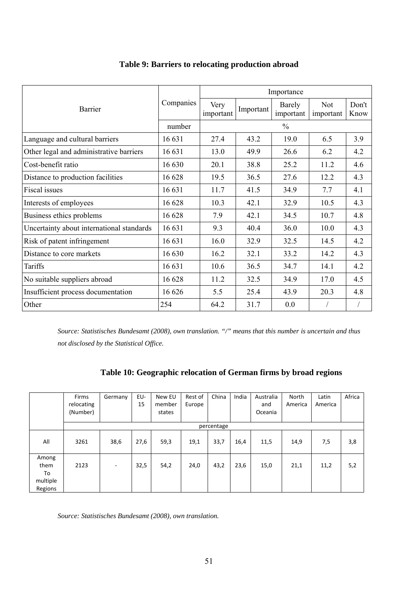|                                           |           | Importance        |           |                     |                         |               |  |
|-------------------------------------------|-----------|-------------------|-----------|---------------------|-------------------------|---------------|--|
| Barrier                                   | Companies | Very<br>important | Important | Barely<br>important | <b>Not</b><br>important | Don't<br>Know |  |
|                                           | number    |                   |           | $\frac{0}{0}$       |                         |               |  |
| Language and cultural barriers            | 16 631    | 27.4              | 43.2      | 19.0                | 6.5                     | 3.9           |  |
| Other legal and administrative barriers   | 16 631    | 13.0              | 49.9      | 26.6                | 6.2                     | 4.2           |  |
| Cost-benefit ratio                        | 16 630    | 20.1              | 38.8      | 25.2                | 11.2                    | 4.6           |  |
| Distance to production facilities         | 16 628    | 19.5              | 36.5      | 27.6                | 12.2                    | 4.3           |  |
| Fiscal issues                             | 16 631    | 11.7              | 41.5      | 34.9                | 7.7                     | 4.1           |  |
| Interests of employees                    | 16 628    | 10.3              | 42.1      | 32.9                | 10.5                    | 4.3           |  |
| Business ethics problems                  | 16 628    | 7.9               | 42.1      | 34.5                | 10.7                    | 4.8           |  |
| Uncertainty about international standards | 16 631    | 9.3               | 40.4      | 36.0                | 10.0                    | 4.3           |  |
| Risk of patent infringement               | 16 631    | 16.0              | 32.9      | 32.5                | 14.5                    | 4.2           |  |
| Distance to core markets                  | 16 630    | 16.2              | 32.1      | 33.2                | 14.2                    | 4.3           |  |
| Tariffs                                   | 16 631    | 10.6              | 36.5      | 34.7                | 14.1                    | 4.2           |  |
| No suitable suppliers abroad              | 16 628    | 11.2              | 32.5      | 34.9                | 17.0                    | 4.5           |  |
| Insufficient process documentation        | 16 626    | 5.5               | 25.4      | 43.9                | 20.3                    | 4.8           |  |
| Other                                     | 254       | 64.2              | 31.7      | 0.0                 |                         |               |  |

### **Table 9: Barriers to relocating production abroad**

*Source: Statistisches Bundesamt (2008), own translation. "/" means that this number is uncertain and thus not disclosed by the Statistical Office.* 

### **Table 10: Geographic relocation of German firms by broad regions**

|                                            | Firms<br>relocating<br>(Number) | Germany                  | EU-<br>15 | New EU<br>member<br>states | Rest of<br>Europe | China      | India | Australia<br>and<br>Oceania | North<br>America | Latin<br>America | Africa |
|--------------------------------------------|---------------------------------|--------------------------|-----------|----------------------------|-------------------|------------|-------|-----------------------------|------------------|------------------|--------|
|                                            |                                 |                          |           |                            |                   | percentage |       |                             |                  |                  |        |
| All                                        | 3261                            | 38,6                     | 27,6      | 59,3                       | 19,1              | 33,7       | 16,4  | 11,5                        | 14,9             | 7,5              | 3,8    |
| Among<br>them<br>To<br>multiple<br>Regions | 2123                            | $\overline{\phantom{a}}$ | 32,5      | 54,2                       | 24,0              | 43,2       | 23,6  | 15,0                        | 21,1             | 11,2             | 5,2    |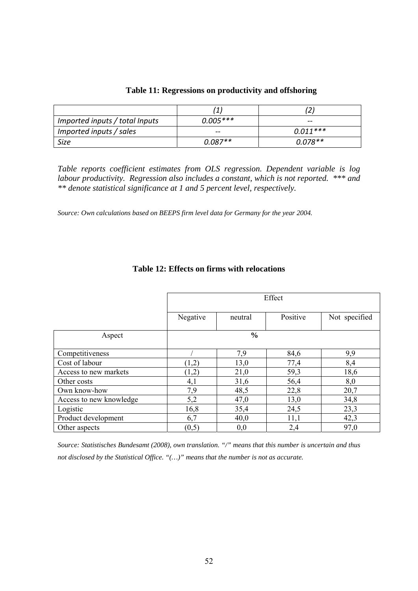| Imported inputs / total Inputs | $0.005***$ | $- -$      |
|--------------------------------|------------|------------|
| Imported inputs / sales        | $- -$      | $0.011***$ |
| Size                           | $0.087**$  | $0.078**$  |

#### **Table 11: Regressions on productivity and offshoring**

*Table reports coefficient estimates from OLS regression. Dependent variable is log labour productivity. Regression also includes a constant, which is not reported. \*\*\* and \*\* denote statistical significance at 1 and 5 percent level, respectively.* 

*Source: Own calculations based on BEEPS firm level data for Germany for the year 2004.* 

|                         |          | Effect        |          |               |  |  |  |
|-------------------------|----------|---------------|----------|---------------|--|--|--|
|                         |          |               |          |               |  |  |  |
|                         | Negative | neutral       | Positive | Not specified |  |  |  |
|                         |          |               |          |               |  |  |  |
| Aspect                  |          | $\frac{0}{0}$ |          |               |  |  |  |
|                         |          |               |          |               |  |  |  |
| Competitiveness         |          | 7,9           | 84,6     | 9,9           |  |  |  |
| Cost of labour          | (1,2)    | 13,0          | 77,4     | 8,4           |  |  |  |
| Access to new markets   | (1,2)    | 21,0          | 59,3     | 18,6          |  |  |  |
| Other costs             | 4,1      | 31,6          | 56,4     | 8,0           |  |  |  |
| Own know-how            | 7,9      | 48,5          | 22,8     | 20,7          |  |  |  |
| Access to new knowledge | 5,2      | 47,0          | 13,0     | 34,8          |  |  |  |
| Logistic                | 16,8     | 35,4          | 24,5     | 23,3          |  |  |  |
| Product development     | 6,7      | 40,0          | 11,1     | 42,3          |  |  |  |
| Other aspects           | (0,5)    | 0,0           | 2,4      | 97,0          |  |  |  |

#### **Table 12: Effects on firms with relocations**

*Source: Statistisches Bundesamt (2008), own translation. "/" means that this number is uncertain and thus not disclosed by the Statistical Office. "(…)" means that the number is not as accurate.*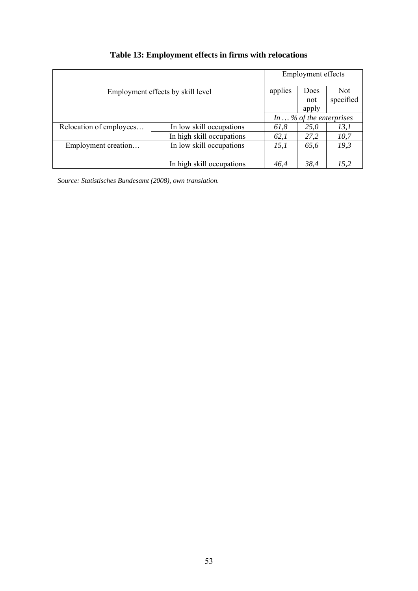| Employment effects by skill level |                           |      | <b>Employment effects</b>        |            |  |  |
|-----------------------------------|---------------------------|------|----------------------------------|------------|--|--|
|                                   |                           |      | Does                             | <b>Not</b> |  |  |
|                                   |                           |      | not                              | specified  |  |  |
|                                   |                           |      | apply                            |            |  |  |
|                                   |                           |      | In $\ldots$ % of the enterprises |            |  |  |
| Relocation of employees           | In low skill occupations  | 61,8 | <i>25,0</i>                      | 13,1       |  |  |
|                                   | In high skill occupations | 62,1 | 27,2                             | 10,7       |  |  |
| Employment creation               | In low skill occupations  | 15,1 | 65,6                             | 19,3       |  |  |
|                                   |                           |      |                                  |            |  |  |
|                                   | In high skill occupations | 46,4 | 38,4                             | 15,2       |  |  |

# **Table 13: Employment effects in firms with relocations**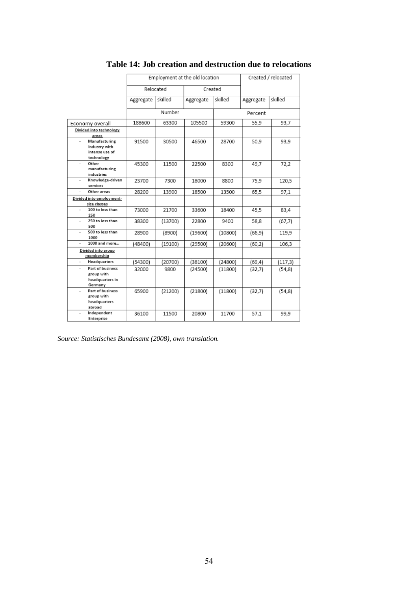|                                              | Employment at the old location |         |           | Created / relocated |           |          |
|----------------------------------------------|--------------------------------|---------|-----------|---------------------|-----------|----------|
|                                              | Relocated                      |         | Created   |                     |           |          |
|                                              | Aggregate                      | skilled | Aggregate | skilled             | Aggregate | skilled  |
|                                              | Number                         |         | Percent   |                     |           |          |
| Economy overall                              | 188600                         | 63300   | 105500    | 59300               | 55,9      | 93,7     |
| Divided into technology                      |                                |         |           |                     |           |          |
| areas                                        |                                |         |           |                     |           |          |
| Manufacturing                                | 91500                          | 30500   | 46500     | 28700               | 50,9      | 93,9     |
| industry with<br>intense use of              |                                |         |           |                     |           |          |
| technology                                   |                                |         |           |                     |           |          |
| Other<br>٠                                   | 45300                          | 11500   | 22500     | 8300                | 49.7      | 72,2     |
| manufacturing                                |                                |         |           |                     |           |          |
| industries                                   |                                |         |           |                     |           |          |
| Knowledge-driven<br>$\overline{\phantom{a}}$ | 23700                          | 7300    | 18000     | 8800                | 75,9      | 120,5    |
| services                                     |                                |         |           |                     |           |          |
| Other areas                                  | 28200                          | 13900   | 18500     | 13500               | 65,5      | 97,1     |
| Divided into employment-                     |                                |         |           |                     |           |          |
| size classes                                 |                                |         |           |                     |           |          |
| 100 to less than<br>÷.<br>250                | 73000                          | 21700   | 33600     | 18400               | 45.5      | 83,4     |
| 250 to less than                             | 38300                          | (13700) | 22800     | 9400                | 58,8      | (67,7)   |
| 500                                          |                                |         |           |                     |           |          |
| 500 to less than<br>÷                        | 28900                          | (8900)  | (19600)   | (10800)             | (66, 9)   | 119,9    |
| 1000                                         |                                |         |           |                     |           |          |
| 1000 and more                                | (48400)                        | (19100) | (29500)   | (20600)             | (60, 2)   | 106,3    |
| Divided into group<br>membership             |                                |         |           |                     |           |          |
| Headquarters                                 | (54300)                        | (20700) | (38100)   | (24800)             | (69, 4)   | (117, 3) |
| <b>Part of business</b>                      | 32000                          | 9800    | (24500)   | (11800)             | (32,7)    | (54, 8)  |
| group with                                   |                                |         |           |                     |           |          |
| headquarters in                              |                                |         |           |                     |           |          |
| Germany<br><b>Part of business</b>           |                                |         |           |                     |           |          |
| ÷<br>group with                              | 65900                          | (21200) | (21800)   | (11800)             | (32,7)    | (54, 8)  |
| headquarters                                 |                                |         |           |                     |           |          |
| abroad                                       |                                |         |           |                     |           |          |
| Independent                                  | 36100                          | 11500   | 20800     | 11700               | 57,1      | 99,9     |
| Enterprise                                   |                                |         |           |                     |           |          |

## **Table 14: Job creation and destruction due to relocations**